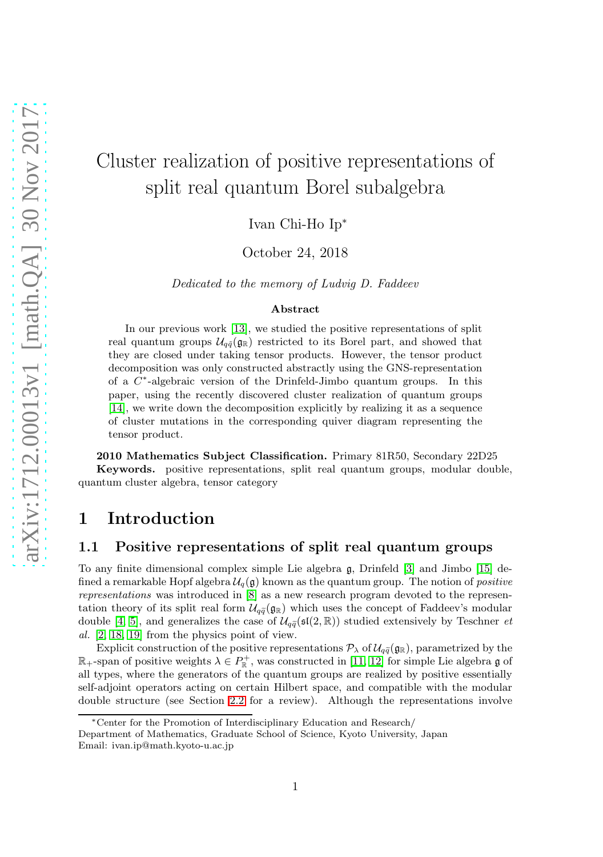# Cluster realization of positive representations of split real quantum Borel subalgebra

Ivan Chi-Ho Ip<sup>∗</sup>

October 24, 2018

Dedicated to the memory of Ludvig D. Faddeev

#### Abstract

In our previous work [\[13\]](#page-28-0), we studied the positive representations of split real quantum groups  $\mathcal{U}_{q\tilde{q}}(g_{\mathbb{R}})$  restricted to its Borel part, and showed that they are closed under taking tensor products. However, the tensor product decomposition was only constructed abstractly using the GNS-representation of a C ∗ -algebraic version of the Drinfeld-Jimbo quantum groups. In this paper, using the recently discovered cluster realization of quantum groups [\[14\]](#page-28-1), we write down the decomposition explicitly by realizing it as a sequence of cluster mutations in the corresponding quiver diagram representing the tensor product.

2010 Mathematics Subject Classification. Primary 81R50, Secondary 22D25 Keywords. positive representations, split real quantum groups, modular double, quantum cluster algebra, tensor category

# 1 Introduction

#### 1.1 Positive representations of split real quantum groups

To any finite dimensional complex simple Lie algebra g, Drinfeld [\[3\]](#page-28-2) and Jimbo [\[15\]](#page-28-3) defined a remarkable Hopf algebra  $\mathcal{U}_q(\mathfrak{g})$  known as the quantum group. The notion of *positive* representations was introduced in [\[8\]](#page-28-4) as a new research program devoted to the representation theory of its split real form  $\mathcal{U}_{q\bar{q}}(\mathfrak{g}_{\mathbb{R}})$  which uses the concept of Faddeev's modular double [\[4,](#page-28-5) [5\]](#page-28-6), and generalizes the case of  $\mathcal{U}_{q\bar{q}}(\mathfrak{sl}(2,\mathbb{R}))$  studied extensively by Teschner et al. [\[2,](#page-28-7) [18,](#page-28-8) [19\]](#page-28-9) from the physics point of view.

Explicit construction of the positive representations  $\mathcal{P}_{\lambda}$  of  $\mathcal{U}_{q\tilde{q}}(\mathfrak{g}_{\mathbb{R}})$ , parametrized by the  $\mathbb{R}_+$ -span of positive weights  $\lambda \in P_\mathbb{R}^+$ , was constructed in [\[11,](#page-28-10) [12\]](#page-28-11) for simple Lie algebra **g** of all types, where the generators of the quantum groups are realized by positive essentially self-adjoint operators acting on certain Hilbert space, and compatible with the modular double structure (see Section [2.2](#page-5-0) for a review). Although the representations involve

<sup>∗</sup>Center for the Promotion of Interdisciplinary Education and Research/

Department of Mathematics, Graduate School of Science, Kyoto University, Japan Email: ivan.ip@math.kyoto-u.ac.jp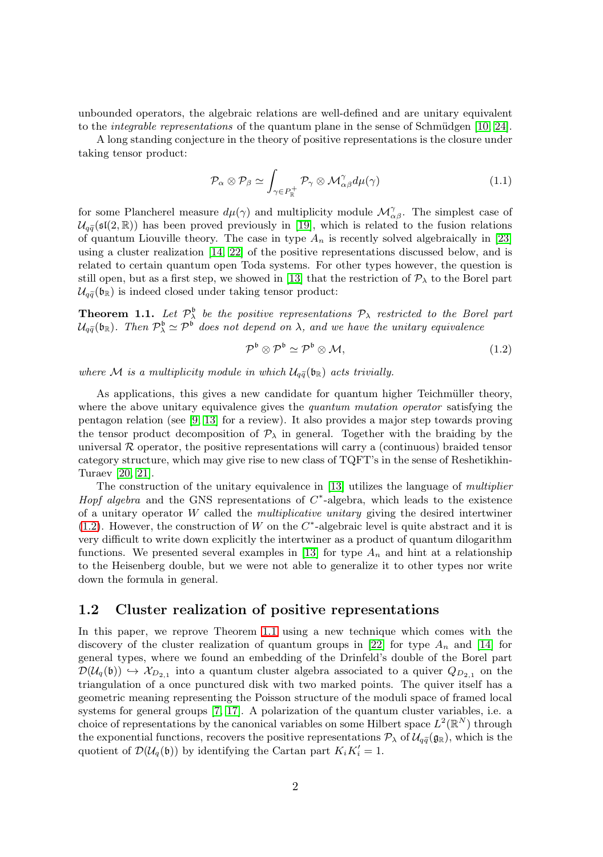unbounded operators, the algebraic relations are well-defined and are unitary equivalent to the *integrable representations* of the quantum plane in the sense of Schmüdgen  $[10, 24]$  $[10, 24]$ .

A long standing conjecture in the theory of positive representations is the closure under taking tensor product:

$$
\mathcal{P}_{\alpha} \otimes \mathcal{P}_{\beta} \simeq \int_{\gamma \in P_{\mathbb{R}}^{+}} \mathcal{P}_{\gamma} \otimes \mathcal{M}_{\alpha\beta}^{\gamma} d\mu(\gamma) \tag{1.1}
$$

for some Plancherel measure  $d\mu(\gamma)$  and multiplicity module  $\mathcal{M}_{\alpha\beta}^{\gamma}$ . The simplest case of  $\mathcal{U}_{q\tilde{q}}(\mathfrak{sl}(2,\mathbb{R}))$  has been proved previously in [\[19\]](#page-28-9), which is related to the fusion relations of quantum Liouville theory. The case in type  $A_n$  is recently solved algebraically in [\[23\]](#page-29-1) using a cluster realization [\[14,](#page-28-1) [22\]](#page-29-2) of the positive representations discussed below, and is related to certain quantum open Toda systems. For other types however, the question is still open, but as a first step, we showed in [\[13\]](#page-28-0) that the restriction of  $P_{\lambda}$  to the Borel part  $\mathcal{U}_{q\tilde{q}}(\mathfrak{b}_{\mathbb{R}})$  is indeed closed under taking tensor product:

<span id="page-1-1"></span>**Theorem 1.1.** Let  $\mathcal{P}_{\lambda}^{b}$  be the positive representations  $\mathcal{P}_{\lambda}$  restricted to the Borel part  $\mathcal{U}_{q\widetilde{q}}(\mathfrak{b}_\mathbb{R})$ . Then  $\mathcal{P}^{\mathfrak{b}}_\lambda \simeq \mathcal{P}^{\mathfrak{b}}$  does not depend on  $\lambda$ , and we have the unitary equivalence

<span id="page-1-0"></span>
$$
\mathcal{P}^{\mathfrak{b}} \otimes \mathcal{P}^{\mathfrak{b}} \simeq \mathcal{P}^{\mathfrak{b}} \otimes \mathcal{M},\tag{1.2}
$$

where M is a multiplicity module in which  $\mathcal{U}_{q\tilde{q}}(\mathfrak{b}_{\mathbb{R}})$  acts trivially.

As applications, this gives a new candidate for quantum higher Teichmüller theory, where the above unitary equivalence gives the *quantum mutation operator* satisfying the pentagon relation (see [\[9,](#page-28-13) [13\]](#page-28-0) for a review). It also provides a major step towards proving the tensor product decomposition of  $\mathcal{P}_{\lambda}$  in general. Together with the braiding by the universal  $R$  operator, the positive representations will carry a (continuous) braided tensor category structure, which may give rise to new class of TQFT's in the sense of Reshetikhin-Turaev [\[20,](#page-28-14) [21\]](#page-29-3).

The construction of the unitary equivalence in [\[13\]](#page-28-0) utilizes the language of multiplier *Hopf algebra* and the GNS representations of  $C^*$ -algebra, which leads to the existence of a unitary operator W called the *multiplicative unitary* giving the desired intertwiner  $(1.2)$ . However, the construction of W on the  $C^*$ -algebraic level is quite abstract and it is very difficult to write down explicitly the intertwiner as a product of quantum dilogarithm functions. We presented several examples in [\[13\]](#page-28-0) for type  $A_n$  and hint at a relationship to the Heisenberg double, but we were not able to generalize it to other types nor write down the formula in general.

#### 1.2 Cluster realization of positive representations

In this paper, we reprove Theorem [1.1](#page-1-1) using a new technique which comes with the discovery of the cluster realization of quantum groups in [\[22\]](#page-29-2) for type  $A_n$  and [\[14\]](#page-28-1) for general types, where we found an embedding of the Drinfeld's double of the Borel part  $\mathcal{D}(\mathcal{U}_q(\mathfrak{b})) \hookrightarrow \mathcal{X}_{D_{2,1}}$  into a quantum cluster algebra associated to a quiver  $Q_{D_{2,1}}$  on the triangulation of a once punctured disk with two marked points. The quiver itself has a geometric meaning representing the Poisson structure of the moduli space of framed local systems for general groups [\[7,](#page-28-15) [17\]](#page-28-16). A polarization of the quantum cluster variables, i.e. a choice of representations by the canonical variables on some Hilbert space  $L^2(\mathbb{R}^N)$  through the exponential functions, recovers the positive representations  $\mathcal{P}_{\lambda}$  of  $\mathcal{U}_{q\tilde{q}}(\mathfrak{g}_{\mathbb{R}})$ , which is the quotient of  $\mathcal{D}(\mathcal{U}_q(\mathfrak{b}))$  by identifying the Cartan part  $K_i K'_i = 1$ .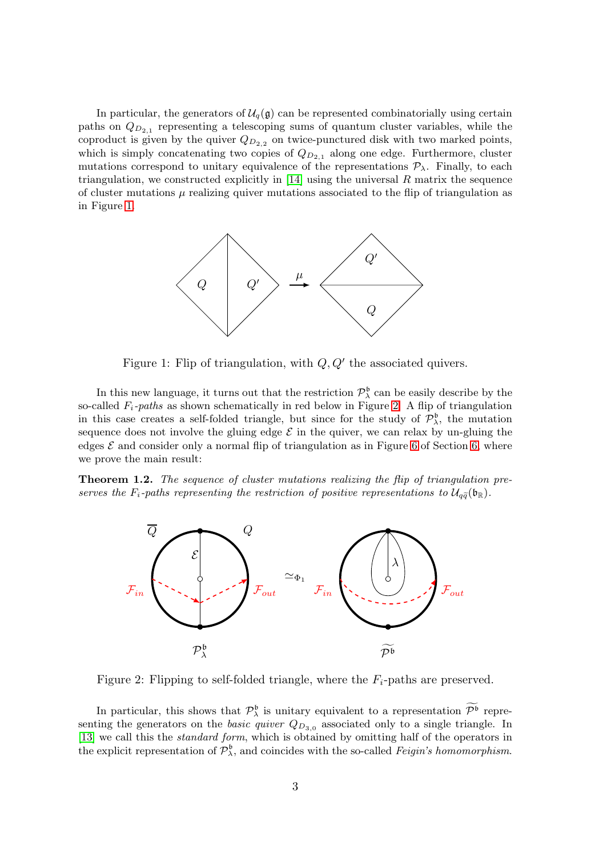In particular, the generators of  $\mathcal{U}_q(\mathfrak{g})$  can be represented combinatorially using certain paths on  $Q_{D_{2,1}}$  representing a telescoping sums of quantum cluster variables, while the coproduct is given by the quiver  $Q_{D_{2,2}}$  on twice-punctured disk with two marked points, which is simply concatenating two copies of  $Q_{D_{2,1}}$  along one edge. Furthermore, cluster mutations correspond to unitary equivalence of the representations  $\mathcal{P}_{\lambda}$ . Finally, to each triangulation, we constructed explicitly in  $[14]$  using the universal R matrix the sequence of cluster mutations  $\mu$  realizing quiver mutations associated to the flip of triangulation as in Figure [1.](#page-2-0)

<span id="page-2-0"></span>

Figure 1: Flip of triangulation, with  $Q, Q'$  the associated quivers.

In this new language, it turns out that the restriction  $\mathcal{P}_{\lambda}^{b}$  can be easily describe by the so-called  $F_i$ -paths as shown schematically in red below in Figure [2.](#page-2-1) A flip of triangulation in this case creates a self-folded triangle, but since for the study of  $\mathcal{P}^{\mathfrak{b}}_{\lambda}$ , the mutation sequence does not involve the gluing edge  $\mathcal E$  in the quiver, we can relax by un-gluing the edges  $\mathcal E$  and consider only a normal flip of triangulation as in Figure [6](#page-17-0) of Section [6,](#page-16-0) where we prove the main result:

<span id="page-2-1"></span>**Theorem 1.2.** The sequence of cluster mutations realizing the flip of triangulation preserves the  $F_i$ -paths representing the restriction of positive representations to  $\mathcal{U}_{q\tilde{q}}(\mathfrak{b}_\mathbb{R})$ .



Figure 2: Flipping to self-folded triangle, where the  $F_i$ -paths are preserved.

In particular, this shows that  $\mathcal{P}_{\lambda}^{\mathfrak{b}}$  is unitary equivalent to a representation  $\mathcal{P}^{\mathfrak{b}}$  representing the generators on the *basic quiver*  $Q_{D_{3,0}}$  associated only to a single triangle. In [\[13\]](#page-28-0) we call this the standard form, which is obtained by omitting half of the operators in the explicit representation of  $\mathcal{P}_{\lambda}^{b}$ , and coincides with the so-called *Feigin's homomorphism*.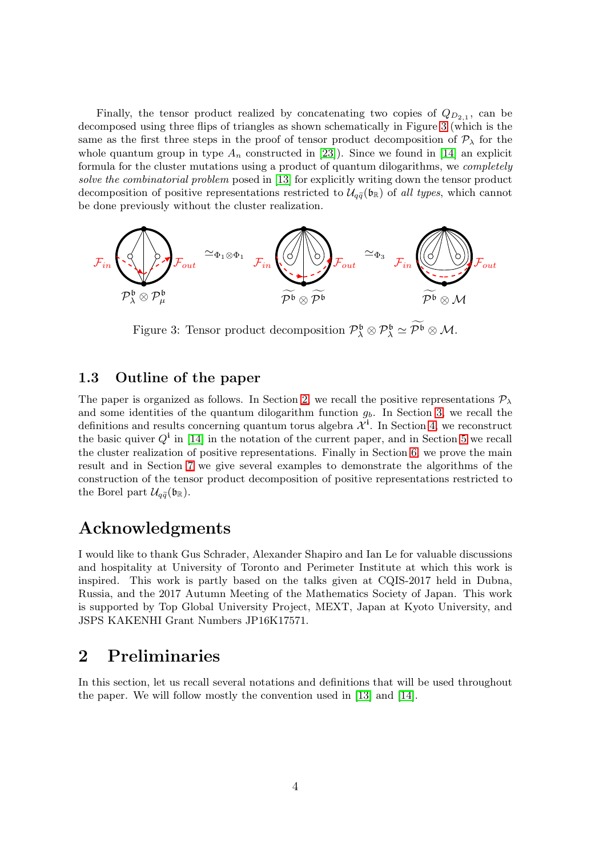Finally, the tensor product realized by concatenating two copies of  $Q_{D_{2,1}}$ , can be decomposed using three flips of triangles as shown schematically in Figure [3](#page-3-0) (which is the same as the first three steps in the proof of tensor product decomposition of  $P_{\lambda}$  for the whole quantum group in type  $A_n$  constructed in [\[23\]](#page-29-1)). Since we found in [\[14\]](#page-28-1) an explicit formula for the cluster mutations using a product of quantum dilogarithms, we *completely* solve the combinatorial problem posed in [\[13\]](#page-28-0) for explicitly writing down the tensor product decomposition of positive representations restricted to  $\mathcal{U}_{q\bar{q}}(\mathfrak{b}_{\mathbb{R}})$  of all types, which cannot be done previously without the cluster realization.

<span id="page-3-0"></span>

Figure 3: Tensor product decomposition  $\mathcal{P}^{\mathfrak{b}}_{\lambda} \otimes \mathcal{P}^{\mathfrak{b}}_{\lambda} \simeq \widetilde{\mathcal{P}^{\mathfrak{b}}} \otimes \mathcal{M}$ .

### 1.3 Outline of the paper

The paper is organized as follows. In Section [2,](#page-3-1) we recall the positive representations  $\mathcal{P}_{\lambda}$ and some identities of the quantum dilogarithm function  $g<sub>b</sub>$ . In Section [3,](#page-8-0) we recall the definitions and results concerning quantum torus algebra  $\mathcal{X}^i$ . In Section [4,](#page-11-0) we reconstruct the basic quiver  $Q^i$  in [\[14\]](#page-28-1) in the notation of the current paper, and in Section [5](#page-14-0) we recall the cluster realization of positive representations. Finally in Section [6,](#page-16-0) we prove the main result and in Section [7](#page-20-0) we give several examples to demonstrate the algorithms of the construction of the tensor product decomposition of positive representations restricted to the Borel part  $\mathcal{U}_{q\tilde{q}}(\mathfrak{b}_{\mathbb{R}})$ .

# Acknowledgments

I would like to thank Gus Schrader, Alexander Shapiro and Ian Le for valuable discussions and hospitality at University of Toronto and Perimeter Institute at which this work is inspired. This work is partly based on the talks given at CQIS-2017 held in Dubna, Russia, and the 2017 Autumn Meeting of the Mathematics Society of Japan. This work is supported by Top Global University Project, MEXT, Japan at Kyoto University, and JSPS KAKENHI Grant Numbers JP16K17571.

# <span id="page-3-1"></span>2 Preliminaries

In this section, let us recall several notations and definitions that will be used throughout the paper. We will follow mostly the convention used in [\[13\]](#page-28-0) and [\[14\]](#page-28-1).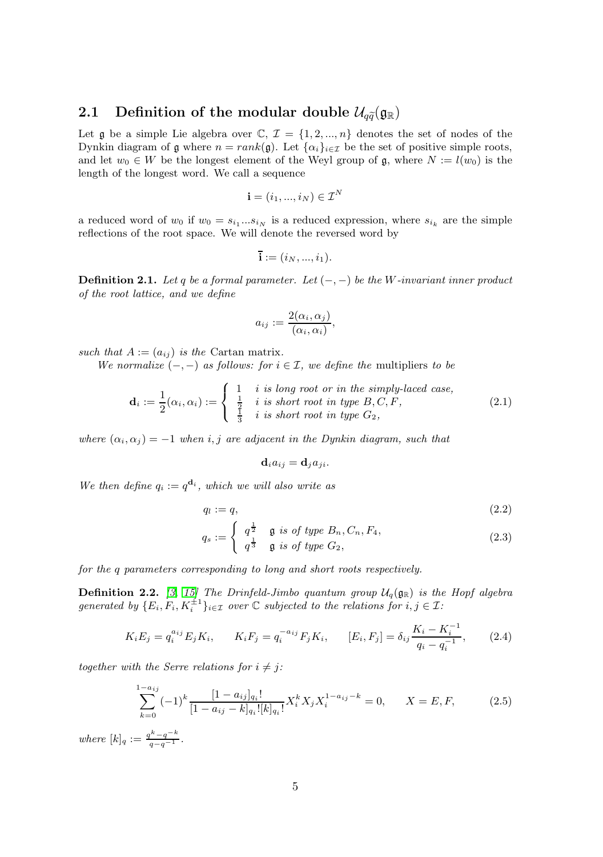### 2.1 Definition of the modular double  $\mathcal{U}_{q\tilde{q}}(\mathfrak{g}_{\mathbb{R}})$

Let g be a simple Lie algebra over  $\mathbb{C}, \mathcal{I} = \{1, 2, ..., n\}$  denotes the set of nodes of the Dynkin diagram of g where  $n = rank(g)$ . Let  $\{\alpha_i\}_{i \in \mathcal{I}}$  be the set of positive simple roots, and let  $w_0 \in W$  be the longest element of the Weyl group of  $\mathfrak{g}$ , where  $N := l(w_0)$  is the length of the longest word. We call a sequence

$$
\mathbf{i} = (i_1, ..., i_N) \in \mathcal{I}^N
$$

a reduced word of  $w_0$  if  $w_0 = s_{i_1}...s_{i_N}$  is a reduced expression, where  $s_{i_k}$  are the simple reflections of the root space. We will denote the reversed word by

$$
\overline{\mathbf{i}}:=(i_N,...,i_1).
$$

**Definition 2.1.** Let q be a formal parameter. Let  $(-, -)$  be the W-invariant inner product of the root lattice, and we define

$$
a_{ij} := \frac{2(\alpha_i, \alpha_j)}{(\alpha_i, \alpha_i)},
$$

such that  $A := (a_{ij})$  is the Cartan matrix.

We normalize  $(-,-)$  as follows: for  $i \in \mathcal{I}$ , we define the multipliers to be

$$
\mathbf{d}_{i} := \frac{1}{2}(\alpha_{i}, \alpha_{i}) := \begin{cases} 1 & i \text{ is long root or in the simply-laced case,} \\ \frac{1}{2} & i \text{ is short root in type } B, C, F, \\ \frac{1}{3} & i \text{ is short root in type } G_{2}, \end{cases}
$$
(2.1)

where  $(\alpha_i, \alpha_j) = -1$  when i, j are adjacent in the Dynkin diagram, such that

$$
\mathbf{d}_i a_{ij} = \mathbf{d}_j a_{ji}.
$$

We then define  $q_i := q^{d_i}$ , which we will also write as

$$
q_l := q,\tag{2.2}
$$

$$
q_s := \begin{cases} q^{\frac{1}{2}} & \text{g is of type } B_n, C_n, F_4, \\ q^{\frac{1}{3}} & \text{g is of type } G_2, \end{cases}
$$
 (2.3)

for the q parameters corresponding to long and short roots respectively.

**Definition 2.2.** [\[3,](#page-28-2) [15\]](#page-28-3) The Drinfeld-Jimbo quantum group  $\mathcal{U}_q(\mathfrak{g}_{\mathbb{R}})$  is the Hopf algebra generated by  $\{E_i, F_i, K_i^{\pm 1}\}_{i \in \mathcal{I}}$  over  $\mathbb C$  subjected to the relations for  $i, j \in \mathcal{I}$ :

$$
K_i E_j = q_i^{a_{ij}} E_j K_i, \qquad K_i F_j = q_i^{-a_{ij}} F_j K_i, \qquad [E_i, F_j] = \delta_{ij} \frac{K_i - K_i^{-1}}{q_i - q_i^{-1}}, \qquad (2.4)
$$

together with the Serre relations for  $i \neq j$ :

$$
\sum_{k=0}^{1-a_{ij}} (-1)^k \frac{[1-a_{ij}]_{q_i}!}{[1-a_{ij}-k]_{q_i}![k]_{q_i}!} X_i^k X_j X_i^{1-a_{ij}-k} = 0, \qquad X = E, F,
$$
 (2.5)

where  $[k]_q := \frac{q^k - q^{-k}}{q - q^{-1}}$ .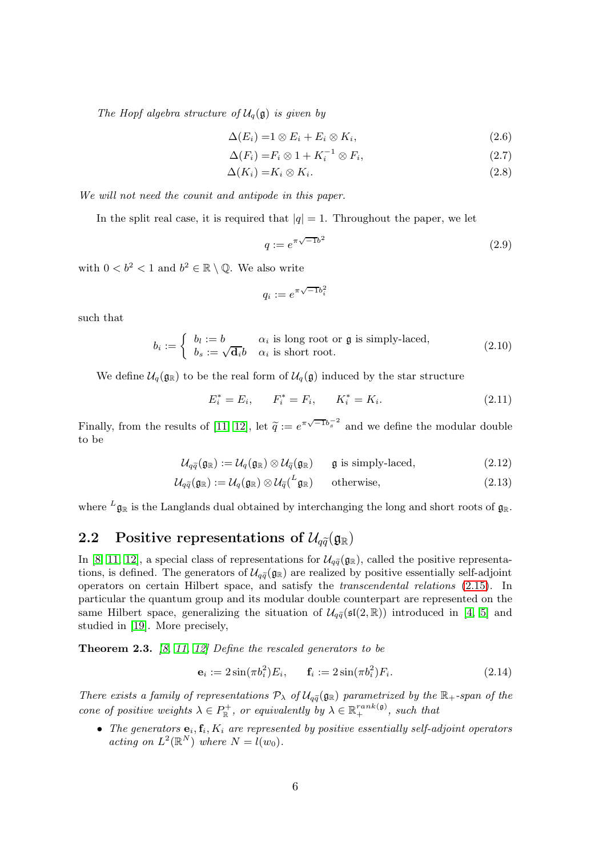The Hopf algebra structure of  $\mathcal{U}_q(\mathfrak{g})$  is given by

$$
\Delta(E_i) = 1 \otimes E_i + E_i \otimes K_i, \qquad (2.6)
$$

$$
\Delta(F_i) = F_i \otimes 1 + K_i^{-1} \otimes F_i,\tag{2.7}
$$

$$
\Delta(K_i) = K_i \otimes K_i. \tag{2.8}
$$

We will not need the counit and antipode in this paper.

In the split real case, it is required that  $|q|=1$ . Throughout the paper, we let

$$
q := e^{\pi\sqrt{-1}b^2} \tag{2.9}
$$

with  $0 < b^2 < 1$  and  $b^2 \in \mathbb{R} \setminus \mathbb{Q}$ . We also write

$$
q_i := e^{\pi \sqrt{-1}b_i^2}
$$

such that

$$
b_i := \begin{cases} b_l := b & \alpha_i \text{ is long root or } \mathfrak{g} \text{ is simply-laced,} \\ b_s := \sqrt{\mathbf{d}_i} b & \alpha_i \text{ is short root.} \end{cases} \tag{2.10}
$$

We define  $\mathcal{U}_q(\mathfrak{g}_{\mathbb{R}})$  to be the real form of  $\mathcal{U}_q(\mathfrak{g})$  induced by the star structure

$$
E_i^* = E_i, \qquad F_i^* = F_i, \qquad K_i^* = K_i. \tag{2.11}
$$

Finally, from the results of [\[11,](#page-28-10) [12\]](#page-28-11), let  $\tilde{q} := e^{\pi\sqrt{-1}b_s^{-2}}$  and we define the modular double to be

$$
\mathcal{U}_{q\widetilde{q}}(\mathfrak{g}_{\mathbb{R}}):=\mathcal{U}_{q}(\mathfrak{g}_{\mathbb{R}})\otimes\mathcal{U}_{\widetilde{q}}(\mathfrak{g}_{\mathbb{R}}) \qquad \text{g is simply-laced},\tag{2.12}
$$

$$
\mathcal{U}_{q\widetilde{q}}(\mathfrak{g}_{\mathbb{R}}) := \mathcal{U}_{q}(\mathfrak{g}_{\mathbb{R}}) \otimes \mathcal{U}_{\widetilde{q}}({}^{L}\mathfrak{g}_{\mathbb{R}}) \qquad \text{otherwise}, \tag{2.13}
$$

where  ${}^L\mathfrak{g}_{\mathbb{R}}$  is the Langlands dual obtained by interchanging the long and short roots of  $\mathfrak{g}_{\mathbb{R}}$ .

### <span id="page-5-0"></span>2.2 Positive representations of  $\mathcal{U}_{q\tilde{q}}(\mathfrak{g}_{\mathbb{R}})$

In [\[8,](#page-28-4) [11,](#page-28-10) [12\]](#page-28-11), a special class of representations for  $\mathcal{U}_{q\tilde{q}}(\mathfrak{g}_{\mathbb{R}})$ , called the positive representations, is defined. The generators of  $\mathcal{U}_{q\bar{q}}(\mathfrak{g}_{\mathbb{R}})$  are realized by positive essentially self-adjoint operators on certain Hilbert space, and satisfy the transcendental relations [\(2.15\)](#page-6-0). In particular the quantum group and its modular double counterpart are represented on the same Hilbert space, generalizing the situation of  $\mathcal{U}_{q\bar{q}}(\mathfrak{sl}(2,\mathbb{R}))$  introduced in [\[4,](#page-28-5) [5\]](#page-28-6) and studied in [\[19\]](#page-28-9). More precisely,

**Theorem 2.3.** [\[8,](#page-28-4) [11,](#page-28-10) [12\]](#page-28-11) Define the rescaled generators to be

$$
\mathbf{e}_i := 2\sin(\pi b_i^2) E_i, \qquad \mathbf{f}_i := 2\sin(\pi b_i^2) F_i. \tag{2.14}
$$

There exists a family of representations  $\mathcal{P}_{\lambda}$  of  $\mathcal{U}_{q\bar{q}}(\mathfrak{g}_{\mathbb{R}})$  parametrized by the  $\mathbb{R}_{+}$ -span of the cone of positive weights  $\lambda \in P_{\mathbb{R}}^+$ , or equivalently by  $\lambda \in \mathbb{R}_+^{rank(\mathfrak{g})}$ , such that

• The generators  $\mathbf{e}_i, \mathbf{f}_i, K_i$  are represented by positive essentially self-adjoint operators acting on  $L^2(\mathbb{R}^N)$  where  $N = l(w_0)$ .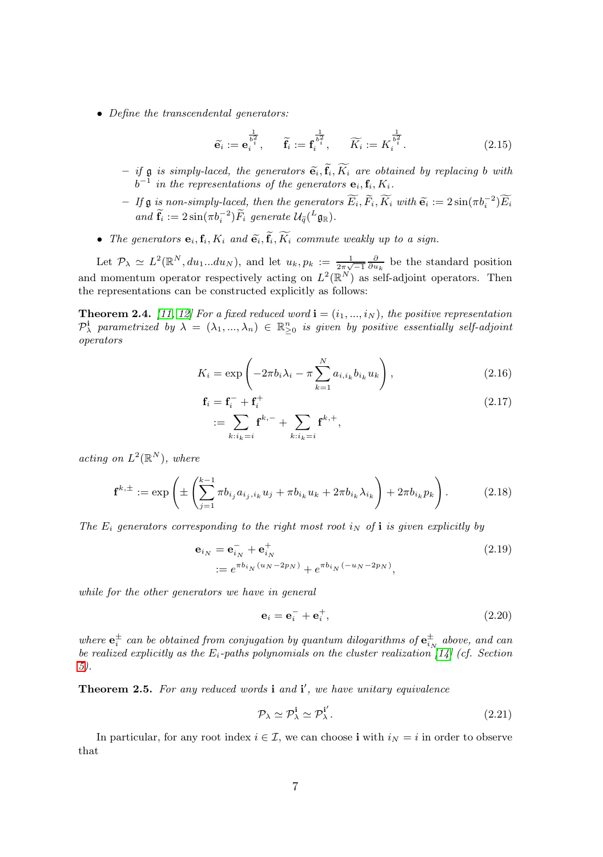• Define the transcendental generators:

<span id="page-6-0"></span>
$$
\widetilde{\mathbf{e}_i} := \mathbf{e}_i^{\frac{1}{b_i^2}}, \qquad \widetilde{\mathbf{f}_i} := \mathbf{f}_i^{\frac{1}{b_i^2}}, \qquad \widetilde{K_i} := K_i^{\frac{1}{b_i^2}}.
$$
\n(2.15)

- − if **g** is simply-laced, the generators  $\tilde{\mathbf{e}}_i$ ,  $\mathbf{f}_i$ ,  $K_i$  are obtained by replacing b with  $b^{-1}$  in the representations of the generators  $\mathbf{e}_i$ ,  $\mathbf{f}_i$ ,  $K_i$ .
- $-I$ f g is non-simply-laced, then the generators  $\widetilde{E}_i$ ,  $\widetilde{F}_i$ ,  $\widetilde{K}_i$  with  $\widetilde{e}_i := 2 \sin(\pi b_i^{-2}) \widetilde{E}_i$ and  $\widetilde{\mathbf{f}}_i := 2 \sin(\pi b_i^{-2}) \widetilde{F}_i$  generate  $\mathcal{U}_{\widetilde{q}}({}^L \mathfrak{g}_{\mathbb{R}})$ .
- The generators  $\mathbf{e}_i, \mathbf{f}_i, K_i$  and  $\widetilde{\mathbf{e}}_i, \widetilde{\mathbf{f}}_i, \widetilde{K_i}$  commute weakly up to a sign.

Let  $\mathcal{P}_{\lambda} \simeq L^2(\mathbb{R}^N, du_1...du_N)$ , and let  $u_k, p_k := \frac{1}{2\pi\sqrt{-1}} \frac{\partial}{\partial u_k}$  be the standard position and momentum operator respectively acting on  $L^2(\mathbb{R}^N)$  as self-adjoint operators. Then the representations can be constructed explicitly as follows:

<span id="page-6-1"></span>**Theorem 2.4.** [\[11,](#page-28-10) [12\]](#page-28-11) For a fixed reduced word  $\mathbf{i} = (i_1, ..., i_N)$ , the positive representation  $\mathcal{P}_\lambda^{\bf i}$  parametrized by  $\lambda = (\lambda_1, ..., \lambda_n) \in \mathbb{R}_{\geq 0}^n$  is given by positive essentially self-adjoint operators

$$
K_i = \exp\left(-2\pi b_i \lambda_i - \pi \sum_{k=1}^N a_{i,i_k} b_{i_k} u_k\right),\tag{2.16}
$$

$$
\mathbf{f}_i = \mathbf{f}_i^- + \mathbf{f}_i^+ \tag{2.17}
$$

<span id="page-6-2"></span>
$$
:= \sum_{k:i_k=i} \mathbf{f}^{k,-} + \sum_{k:i_k=i} \mathbf{f}^{k,+},
$$

acting on  $L^2(\mathbb{R}^N)$ , where

$$
\mathbf{f}^{k,\pm} := \exp\left(\pm \left(\sum_{j=1}^{k-1} \pi b_{i_j} a_{i_j, i_k} u_j + \pi b_{i_k} u_k + 2\pi b_{i_k} \lambda_{i_k}\right) + 2\pi b_{i_k} p_k\right). \tag{2.18}
$$

The  $E_i$  generators corresponding to the right most root  $i_N$  of i is given explicitly by

$$
\mathbf{e}_{i_N} = \mathbf{e}_{i_N}^- + \mathbf{e}_{i_N}^+ \tag{2.19}
$$
  
 :=  $e^{\pi b_{i_N}(u_N - 2p_N)} + e^{\pi b_{i_N}(-u_N - 2p_N)},$ 

while for the other generators we have in general

$$
\mathbf{e}_i = \mathbf{e}_i^- + \mathbf{e}_i^+, \tag{2.20}
$$

where  $\mathbf{e}_i^{\pm}$  can be obtained from conjugation by quantum dilogarithms of  $\mathbf{e}_{i_N}^{\pm}$  above, and can be realized explicitly as the  $E_i$ -paths polynomials on the cluster realization [\[14\]](#page-28-1) (cf. Section [5\)](#page-14-0).

**Theorem 2.5.** For any reduced words **i** and **i'**, we have unitary equivalence

$$
\mathcal{P}_{\lambda} \simeq \mathcal{P}_{\lambda}^{\mathbf{i}} \simeq \mathcal{P}_{\lambda}^{\mathbf{i}'}.
$$
\n(2.21)

In particular, for any root index  $i \in \mathcal{I}$ , we can choose i with  $i_N = i$  in order to observe that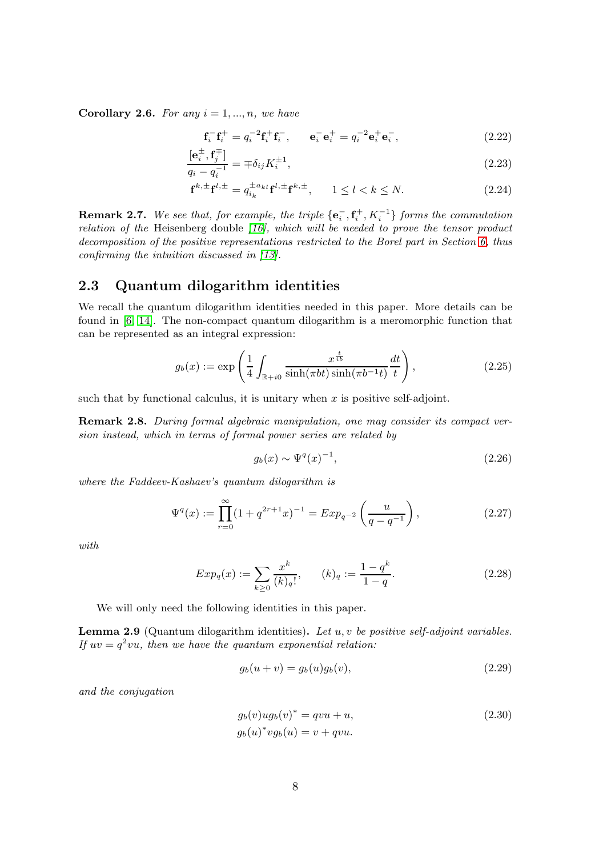<span id="page-7-1"></span>**Corollary 2.6.** For any  $i = 1, ..., n$ , we have

$$
\mathbf{f}_{i}^{-} \mathbf{f}_{i}^{+} = q_{i}^{-2} \mathbf{f}_{i}^{+} \mathbf{f}_{i}^{-}, \qquad \mathbf{e}_{i}^{-} \mathbf{e}_{i}^{+} = q_{i}^{-2} \mathbf{e}_{i}^{+} \mathbf{e}_{i}^{-}, \tag{2.22}
$$

$$
\frac{[\mathbf{e}_i^{\pm}, \mathbf{f}_j^{\mp}]}{q_i - q_i^{-1}} = \mp \delta_{ij} K_i^{\pm 1},\tag{2.23}
$$

$$
\mathbf{f}^{k,\pm}\mathbf{f}^{l,\pm} = q_{i_k}^{\pm a_{kl}} \mathbf{f}^{l,\pm}\mathbf{f}^{k,\pm}, \qquad 1 \le l < k \le N. \tag{2.24}
$$

**Remark 2.7.** We see that, for example, the triple  $\{e_i^-, f_i^+, K_i^{-1}\}$  forms the commutation relation of the Heisenberg double  $(16)$ , which will be needed to prove the tensor product decomposition of the positive representations restricted to the Borel part in Section [6,](#page-16-0) thus confirming the intuition discussed in [\[13\]](#page-28-0).

### 2.3 Quantum dilogarithm identities

We recall the quantum dilogarithm identities needed in this paper. More details can be found in [\[6,](#page-28-18) [14\]](#page-28-1). The non-compact quantum dilogarithm is a meromorphic function that can be represented as an integral expression:

$$
g_b(x) := \exp\left(\frac{1}{4} \int_{\mathbb{R}+i0} \frac{x^{\frac{t}{ib}}}{\sinh(\pi bt)\sinh(\pi b^{-1}t)} \frac{dt}{t}\right),\tag{2.25}
$$

such that by functional calculus, it is unitary when  $x$  is positive self-adjoint.

Remark 2.8. During formal algebraic manipulation, one may consider its compact version instead, which in terms of formal power series are related by

$$
g_b(x) \sim \Psi^q(x)^{-1},
$$
\n(2.26)

where the Faddeev-Kashaev's quantum dilogarithm is

$$
\Psi^{q}(x) := \prod_{r=0}^{\infty} (1 + q^{2r+1} x)^{-1} = Exp_{q^{-2}}\left(\frac{u}{q - q^{-1}}\right),\tag{2.27}
$$

with

$$
Exp_q(x) := \sum_{k \ge 0} \frac{x^k}{(k)_q!}, \qquad (k)_q := \frac{1 - q^k}{1 - q}.
$$
\n(2.28)

We will only need the following identities in this paper.

**Lemma 2.9** (Quantum dilogarithm identities). Let  $u, v$  be positive self-adjoint variables. If  $uv = q^2vu$ , then we have the quantum exponential relation:

<span id="page-7-2"></span>
$$
g_b(u+v) = g_b(u)g_b(v),
$$
\n(2.29)

and the conjugation

<span id="page-7-0"></span>
$$
g_b(v)ug_b(v)^* = qvu + u,
$$
  
\n
$$
g_b(u)^*vg_b(u) = v + qvu.
$$
\n(2.30)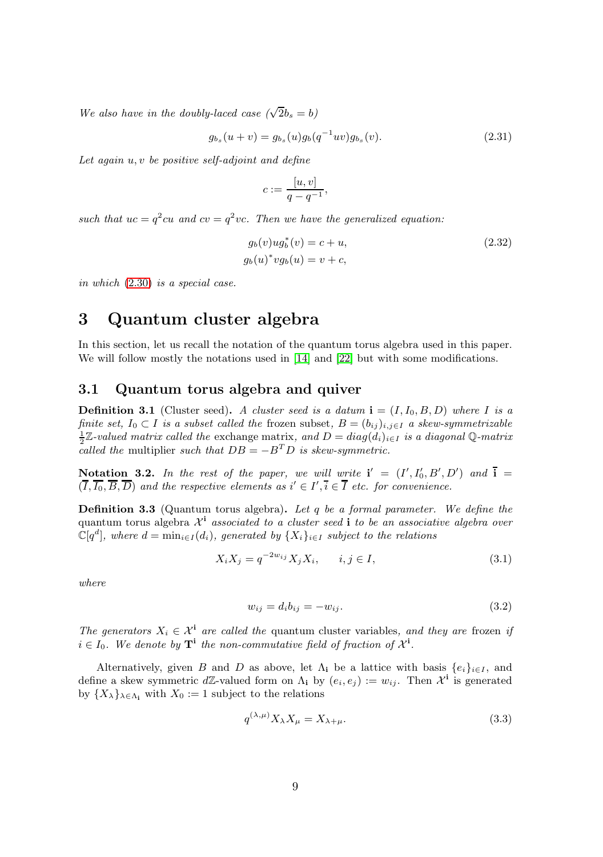We also have in the doubly-laced case  $(\sqrt{2}b_s = b)$ 

$$
g_{b_s}(u+v) = g_{b_s}(u)g_b(q^{-1}uv)g_{b_s}(v).
$$
\n(2.31)

Let again  $u, v$  be positive self-adjoint and define

<span id="page-8-3"></span><span id="page-8-2"></span>
$$
c := \frac{[u, v]}{q - q^{-1}},
$$

such that  $uc = q^2 cu$  and  $cv = q^2 vc$ . Then we have the generalized equation:

$$
g_b(v)ug_b^*(v) = c + u,
$$
  
\n
$$
g_b(u)^*vg_b(u) = v + c,
$$
\n(2.32)

<span id="page-8-0"></span>in which [\(2.30\)](#page-7-0) is a special case.

# 3 Quantum cluster algebra

In this section, let us recall the notation of the quantum torus algebra used in this paper. We will follow mostly the notations used in [\[14\]](#page-28-1) and [\[22\]](#page-29-2) but with some modifications.

#### 3.1 Quantum torus algebra and quiver

**Definition 3.1** (Cluster seed). A cluster seed is a datum  $\mathbf{i} = (I, I_0, B, D)$  where I is a finite set,  $I_0 \subset I$  is a subset called the frozen subset,  $B = (b_{ij})_{i,j \in I}$  a skew-symmetrizable  $\frac{1}{2}\mathbb{Z}\text{-}valued$  matrix called the exchange matrix, and  $D = diag(d_i)_{i \in I}$  is a diagonal Q-matrix called the multiplier such that  $DB = -B^T D$  is skew-symmetric.

Notation 3.2. In the rest of the paper, we will write  $\mathbf{i}' = (I', I'_0, B', D')$  and  $\mathbf{i} =$  $(I, I_0, B, D)$  and the respective elements as  $i' \in I', i \in I$  etc. for convenience.

**Definition 3.3** (Quantum torus algebra). Let q be a formal parameter. We define the quantum torus algebra  $\mathcal{X}^i$  associated to a cluster seed i to be an associative algebra over  $\mathbb{C}[q^d]$ , where  $d = \min_{i \in I}(d_i)$ , generated by  $\{X_i\}_{i \in I}$  subject to the relations

$$
X_i X_j = q^{-2w_{ij}} X_j X_i, \t i, j \in I,
$$
\n(3.1)

where

<span id="page-8-1"></span>
$$
w_{ij} = d_i b_{ij} = -w_{ij}.\tag{3.2}
$$

The generators  $X_i \in \mathcal{X}^i$  are called the quantum cluster variables, and they are frozen if  $i \in I_0$ . We denote by  $\mathbf{T}^i$  the non-commutative field of fraction of  $\mathcal{X}^i$ .

Alternatively, given B and D as above, let  $\Lambda_i$  be a lattice with basis  $\{e_i\}_{i\in I}$ , and define a skew symmetric  $d\mathbb{Z}$ -valued form on  $\Lambda_i$  by  $(e_i, e_j) := w_{ij}$ . Then  $\mathcal{X}^i$  is generated by  ${X_\lambda}_{\lambda \in \Lambda_i}$  with  $X_0 := 1$  subject to the relations

$$
q^{(\lambda,\mu)}X_{\lambda}X_{\mu} = X_{\lambda+\mu}.
$$
\n(3.3)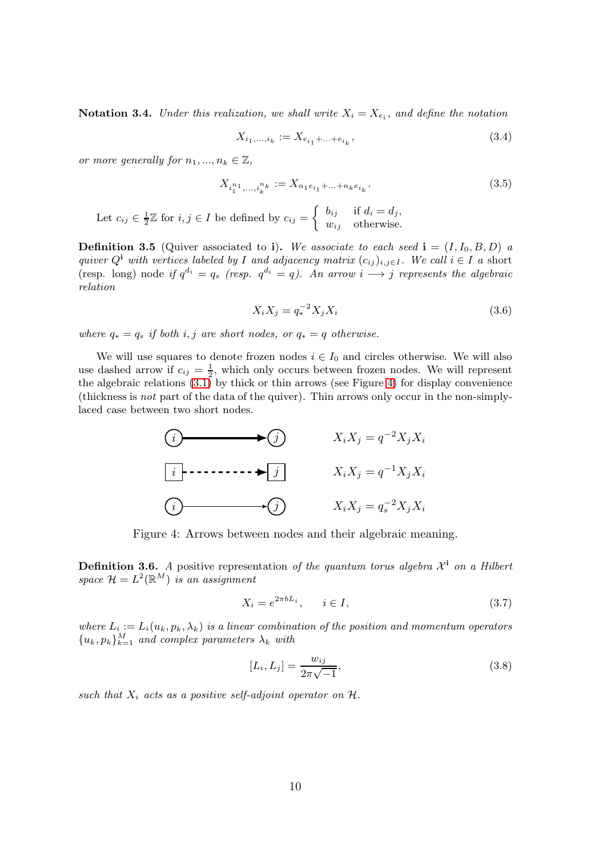**Notation 3.4.** Under this realization, we shall write  $X_i = X_{e_i}$ , and define the notation

$$
X_{i_1,\dots,i_k} := X_{e_{i_1} + \dots + e_{i_k}},\tag{3.4}
$$

or more generally for  $n_1, ..., n_k \in \mathbb{Z}$ ,

$$
X_{i_1^{n_1}, \dots, i_k^{n_k}} := X_{n_1 e_{i_1} + \dots + n_k e_{i_k}}.\tag{3.5}
$$

Let  $c_{ij} \in \frac{1}{2}\mathbb{Z}$  for  $i, j \in I$  be defined by  $c_{ij} = \begin{cases} b_{ij} & \text{if } d_i = d_j, \\ w_{ij} & \text{otherwise.} \end{cases}$  $w_{ij}$  otherwise.

**Definition 3.5** (Quiver associated to i). We associate to each seed  $\mathbf{i} = (I, I_0, B, D)$  a quiver  $Q^i$  with vertices labeled by I and adjacency matrix  $(c_{ij})_{i,j\in I}$ . We call  $i \in I$  a short (resp. long) node if  $q^{d_i} = q_s$  (resp.  $q^{d_i} = q$ ). An arrow  $i \longrightarrow j$  represents the algebraic relation

$$
X_i X_j = q_*^{-2} X_j X_i
$$
\n(3.6)

where  $q_* = q_s$  if both i, j are short nodes, or  $q_* = q$  otherwise.

<span id="page-9-0"></span>We will use squares to denote frozen nodes  $i \in I_0$  and circles otherwise. We will also use dashed arrow if  $c_{ij} = \frac{1}{2}$ , which only occurs between frozen nodes. We will represent the algebraic relations  $(3.1)$  by thick or thin arrows (see Figure [4\)](#page-9-0) for display convenience (thickness is not part of the data of the quiver). Thin arrows only occur in the non-simplylaced case between two short nodes.



Figure 4: Arrows between nodes and their algebraic meaning.

<span id="page-9-1"></span>**Definition 3.6.** A positive representation of the quantum torus algebra  $\mathcal{X}^i$  on a Hilbert space  $\mathcal{H} = L^2(\mathbb{R}^M)$  is an assignment

$$
X_i = e^{2\pi b L_i}, \qquad i \in I,
$$
\n
$$
(3.7)
$$

where  $L_i := L_i(u_k, p_k, \lambda_k)$  is a linear combination of the position and momentum operators  ${u_k, p_k}_{k=1}^M$  and complex parameters  $\lambda_k$  with

$$
[L_i, L_j] = \frac{w_{ij}}{2\pi\sqrt{-1}},
$$
\n(3.8)

such that  $X_i$  acts as a positive self-adjoint operator on  $\mathcal{H}$ .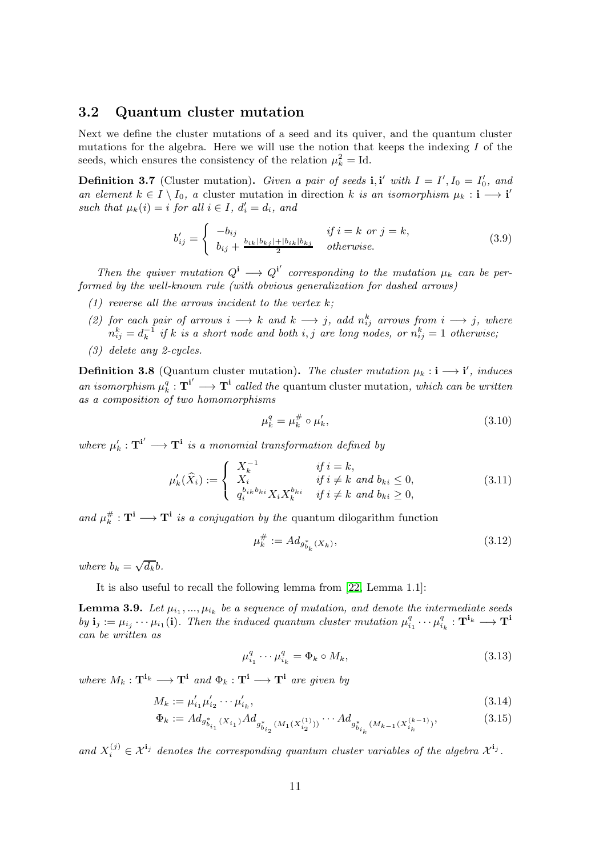#### 3.2 Quantum cluster mutation

Next we define the cluster mutations of a seed and its quiver, and the quantum cluster mutations for the algebra. Here we will use the notion that keeps the indexing  $I$  of the seeds, which ensures the consistency of the relation  $\mu_k^2 = \text{Id}$ .

**Definition 3.7** (Cluster mutation). Given a pair of seeds i, i' with  $I = I', I_0 = I'_0$ , and an element  $k \in I \setminus I_0$ , a cluster mutation in direction k is an isomorphism  $\mu_k : \mathbf{i} \longrightarrow \mathbf{i}'$ such that  $\mu_k(i) = i$  for all  $i \in I$ ,  $d'_i = d_i$ , and

$$
b'_{ij} = \begin{cases} -b_{ij} & if \ i=k \ or \ j=k, \\ b_{ij} + \frac{b_{ik}|b_{kj}| + |b_{ik}|b_{kj}}{2} & otherwise. \end{cases}
$$
 (3.9)

Then the quiver mutation  $Q^i \longrightarrow Q^{i'}$  corresponding to the mutation  $\mu_k$  can be performed by the well-known rule (with obvious generalization for dashed arrows)

- $(1)$  reverse all the arrows incident to the vertex k;
- (2) for each pair of arrows  $i \rightarrow k$  and  $k \rightarrow j$ , add  $n_{ij}^k$  arrows from  $i \rightarrow j$ , where  $n_{ij}^k = d_k^{-1}$  if k is a short node and both i, j are long nodes, or  $n_{ij}^k = 1$  otherwise;
- (3) delete any 2-cycles.

**Definition 3.8** (Quantum cluster mutation). The cluster mutation  $\mu_k : \mathbf{i} \longrightarrow \mathbf{i}'$ , induces an isomorphism  $\mu_k^q : T^{i'} \longrightarrow T^i$  called the quantum cluster mutation, which can be written an isomorphism  $\mu_k : \mathbf{I} \longrightarrow \mathbf{I}$  called the association of two homomorphisms

$$
\mu_k^q = \mu_k^\# \circ \mu_k',\tag{3.10}
$$

where  $\mu'_k : \mathbf{T}^{i'} \longrightarrow \mathbf{T}^{i}$  is a monomial transformation defined by

$$
\mu'_{k}(\widehat{X}_{i}) := \begin{cases}\nX_{k}^{-1} & \text{if } i = k, \\
X_{i} & \text{if } i \neq k \text{ and } b_{ki} \leq 0, \\
q_{i}^{b_{ik}b_{ki}} X_{i} X_{k}^{b_{ki}} & \text{if } i \neq k \text{ and } b_{ki} \geq 0,\n\end{cases}
$$
\n(3.11)

and  $\mu_k^{\#} : \mathbf{T}^i \longrightarrow \mathbf{T}^i$  is a conjugation by the quantum dilogarithm function

$$
\mu_k^{\#} := Ad_{g_{b_k}^*(X_k)},\tag{3.12}
$$

where  $b_k = \sqrt{d_k}b$ .

It is also useful to recall the following lemma from [\[22,](#page-29-2) Lemma 1.1]:

<span id="page-10-0"></span>**Lemma 3.9.** Let  $\mu_{i_1},...,\mu_{i_k}$  be a sequence of mutation, and denote the intermediate seeds by  $\mathbf{i}_j := \mu_{i_j} \cdots \mu_{i_1}(\mathbf{i})$ . Then the induced quantum cluster mutation  $\mu_{i_1}^q \cdots \mu_{i_k}^q : \mathbf{T}^{\mathbf{i}_k} \longrightarrow \mathbf{T}^{\mathbf{i}_k}$ can be written as

$$
\mu_{i_1}^q \cdots \mu_{i_k}^q = \Phi_k \circ M_k,\tag{3.13}
$$

where  $M_k : \mathbf{T}^{i_k} \longrightarrow \mathbf{T}^{i}$  and  $\Phi_k : \mathbf{T}^{i} \longrightarrow \mathbf{T}^{i}$  are given by

$$
M_k := \mu'_{i_1} \mu'_{i_2} \cdots \mu'_{i_k},\tag{3.14}
$$

$$
\Phi_k := Ad_{g_{b_{i_1}}^* (X_{i_1})} Ad_{g_{b_{i_2}}^* (M_1 (X_{i_2}^{(1)}))} \cdots Ad_{g_{b_{i_k}}^* (M_{k-1} (X_{i_k}^{(k-1)}))},
$$
\n(3.15)

and  $X_i^{(j)} \in \mathcal{X}^{i_j}$  denotes the corresponding quantum cluster variables of the algebra  $\mathcal{X}^{i_j}$ .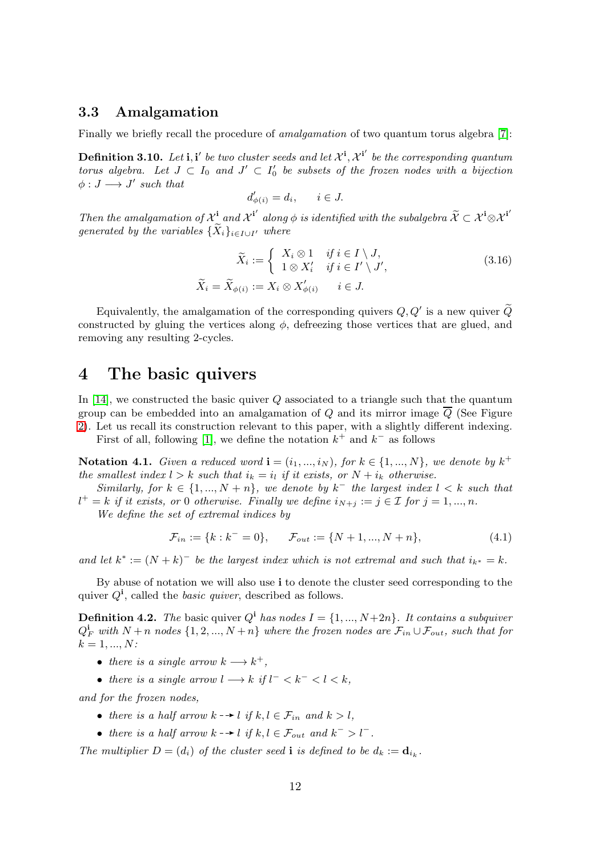#### 3.3 Amalgamation

Finally we briefly recall the procedure of *amalgamation* of two quantum torus algebra [\[7\]](#page-28-15):

**Definition 3.10.** Let **i**, **i'** be two cluster seeds and let  $\mathcal{X}^i$ ,  $\mathcal{X}^{i'}$  be the corresponding quantum torus algebra. Let  $J \subset I_0$  and  $J' \subset I'_0$  be subsets of the frozen nodes with a bijection  $\phi: J \longrightarrow J'$  such that

$$
d'_{\phi(i)} = d_i, \qquad i \in J.
$$

Then the amalgamation of  $\mathcal{X}^i$  and  $\mathcal{X}^{i'}$  along  $\phi$  is identified with the subalgebra  $\widetilde{\mathcal{X}} \subset \mathcal{X}^i \otimes \mathcal{X}^{i'}$ generated by the variables  $\{X_i\}_{i\in I\cup I'}$  where

$$
\widetilde{X}_i := \begin{cases}\nX_i \otimes 1 & \text{if } i \in I \setminus J, \\
1 \otimes X'_i & \text{if } i \in I' \setminus J',\n\end{cases}
$$
\n
$$
\widetilde{X}_i = \widetilde{X}_{\phi(i)} := X_i \otimes X'_{\phi(i)} \qquad i \in J.
$$
\n(3.16)

Equivalently, the amalgamation of the corresponding quivers  $Q, Q'$  is a new quiver  $Q$ constructed by gluing the vertices along  $\phi$ , defreezing those vertices that are glued, and removing any resulting 2-cycles.

# <span id="page-11-0"></span>4 The basic quivers

In [\[14\]](#page-28-1), we constructed the basic quiver  $Q$  associated to a triangle such that the quantum group can be embedded into an amalgamation of Q and its mirror image  $\overline{Q}$  (See Figure [2\)](#page-2-1). Let us recall its construction relevant to this paper, with a slightly different indexing.

First of all, following [\[1\]](#page-28-19), we define the notation  $k^+$  and  $k^-$  as follows

**Notation 4.1.** Given a reduced word  $\mathbf{i} = (i_1, ..., i_N)$ , for  $k \in \{1, ..., N\}$ , we denote by  $k^+$ the smallest index  $l > k$  such that  $i_k = i_l$  if it exists, or  $N + i_k$  otherwise.

Similarly, for  $k \in \{1, ..., N+n\}$ , we denote by  $k^-$  the largest index  $l < k$  such that  $l^+ = k$  if it exists, or 0 otherwise. Finally we define  $i_{N+j} := j \in \mathcal{I}$  for  $j = 1, ..., n$ .

We define the set of extremal indices by

$$
\mathcal{F}_{in} := \{k : k^- = 0\}, \qquad \mathcal{F}_{out} := \{N+1, ..., N+n\},\tag{4.1}
$$

and let  $k^* := (N + k)^{-1}$  be the largest index which is not extremal and such that  $i_{k^*} = k$ .

By abuse of notation we will also use i to denote the cluster seed corresponding to the quiver  $Q^i$ , called the *basic quiver*, described as follows.

<span id="page-11-1"></span>**Definition 4.2.** The basic quiver  $Q^i$  has nodes  $I = \{1, ..., N+2n\}$ . It contains a subquiver  $Q_F^i$  with  $N + n$  nodes  $\{1, 2, ..., N + n\}$  where the frozen nodes are  $\mathcal{F}_{in} \cup \mathcal{F}_{out}$ , such that for  $k = 1, ..., N$ :

- there is a single arrow  $k \longrightarrow k^+$ ,
- there is a single arrow  $l \longrightarrow k$  if  $l^- < k^- < l < k$ ,

and for the frozen nodes,

- there is a half arrow  $k \rightarrow l$  if  $k, l \in \mathcal{F}_{in}$  and  $k > l$ ,
- there is a half arrow  $k \rightarrow l$  if  $k, l \in \mathcal{F}_{out}$  and  $k^- > l^-$ .

The multiplier  $D = (d_i)$  of the cluster seed **i** is defined to be  $d_k := \mathbf{d}_{i_k}$ .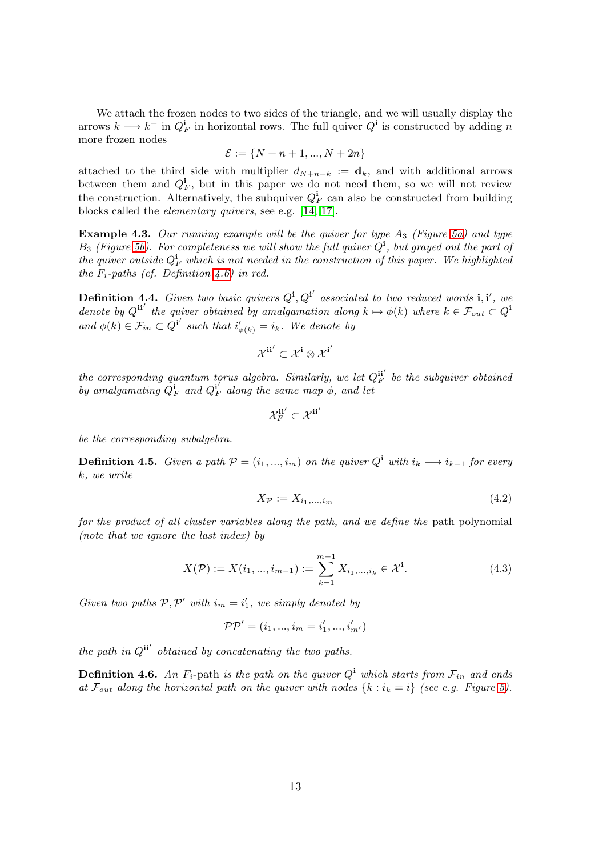We attach the frozen nodes to two sides of the triangle, and we will usually display the arrows  $k \longrightarrow k^+$  in  $Q_F^i$  in horizontal rows. The full quiver  $Q^i$  is constructed by adding n more frozen nodes

$$
\mathcal{E}:=\{N+n+1,...,N+2n\}
$$

attached to the third side with multiplier  $d_{N+n+k} := \mathbf{d}_k$ , and with additional arrows between them and  $Q_F^i$ , but in this paper we do not need them, so we will not review the construction. Alternatively, the subquiver  $Q_F^i$  can also be constructed from building blocks called the elementary quivers, see e.g. [\[14,](#page-28-1) [17\]](#page-28-16).

**Example 4.3.** Our running example will be the quiver for type  $A_3$  (Figure [5a\)](#page-13-0) and type  $B_3$  (Figure [5b\)](#page-13-0). For completeness we will show the full quiver  $Q^i$ , but grayed out the part of the quiver outside  $Q_F^i$  which is not needed in the construction of this paper. We highlighted the  $F_i$ -paths (cf. Definition [4.6\)](#page-12-0) in red.

**Definition 4.4.** Given two basic quivers  $Q^{\mathbf{i}}, Q^{\mathbf{i}'}$  associated to two reduced words **i**, **i'**, we denote by  $Q^{i i'}$  the quiver obtained by amalgamation along  $k \mapsto \phi(k)$  where  $k \in \mathcal{F}_{out} \subset Q^i$ and  $\phi(k) \in \mathcal{F}_{in} \subset \mathcal{Q}^{i'}$  such that  $i'_{\phi(k)} = i_k$ . We denote by

$$
\mathcal{X}^{\mathbf{ii}'} \subset \mathcal{X}^{\mathbf{i}} \otimes \mathcal{X}^{\mathbf{i}'}
$$

the corresponding quantum torus algebra. Similarly, we let  $Q_F^{\mathbf{ii}'}$  be the subquiver obtained by amalgamating  $Q_F^i$  and  $Q_F^i$  along the same map  $\phi$ , and let

$$
\mathcal{X}_F^{\mathbf{ii}'} \subset \mathcal{X}^{\mathbf{ii}'}
$$

be the corresponding subalgebra.

<span id="page-12-1"></span>**Definition 4.5.** Given a path  $\mathcal{P} = (i_1, ..., i_m)$  on the quiver  $Q^i$  with  $i_k \longrightarrow i_{k+1}$  for every k, we write

$$
X_{\mathcal{P}} := X_{i_1,\dots,i_m} \tag{4.2}
$$

for the product of all cluster variables along the path, and we define the path polynomial (note that we ignore the last index) by

$$
X(\mathcal{P}) := X(i_1, ..., i_{m-1}) := \sum_{k=1}^{m-1} X_{i_1, ..., i_k} \in \mathcal{X}^i.
$$
 (4.3)

Given two paths  $P, P'$  with  $i_m = i'_1$ , we simply denoted by

$$
PP' = (i_1, ..., i_m = i'_1, ..., i'_{m'})
$$

the path in  $Q^{\mathbf{ii}'}$  obtained by concatenating the two paths.

<span id="page-12-0"></span>**Definition 4.6.** An  $F_i$ -path is the path on the quiver  $Q^i$  which starts from  $\mathcal{F}_{in}$  and ends at  $\mathcal{F}_{out}$  along the horizontal path on the quiver with nodes  $\{k : i_k = i\}$  (see e.g. Figure [5\)](#page-13-0).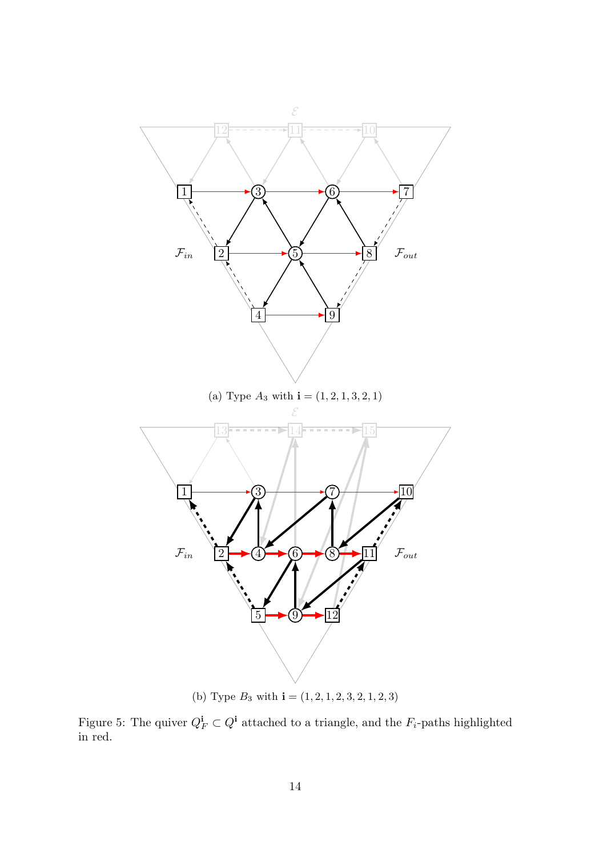<span id="page-13-0"></span>

(b) Type  $B_3$  with  ${\bf i} = (1,2,1,2,3,2,1,2,3)$ 

Figure 5: The quiver  $Q_F^{\mathbf{i}} \subset Q^{\mathbf{i}}$  attached to a triangle, and the  $F_i$ -paths highlighted in red.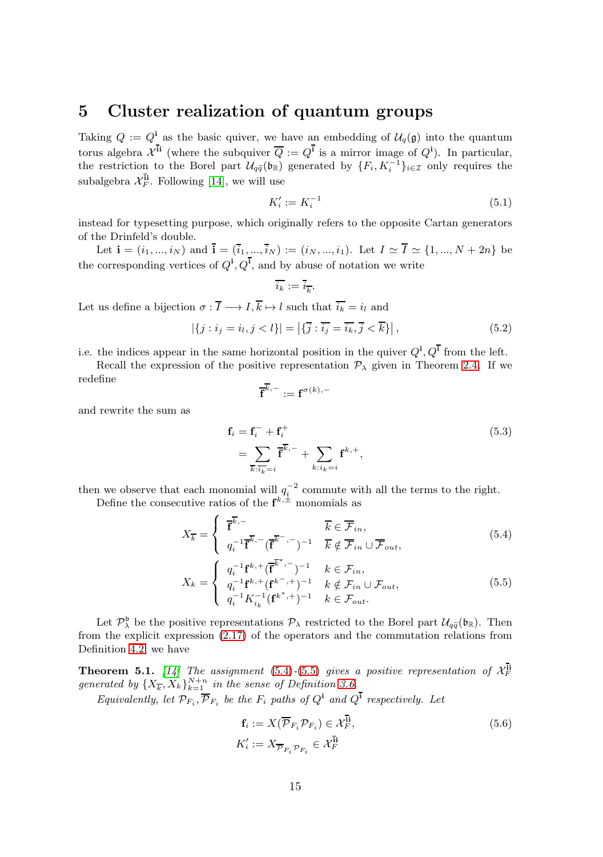# <span id="page-14-0"></span>5 Cluster realization of quantum groups

Taking  $Q := Q^i$  as the basic quiver, we have an embedding of  $\mathcal{U}_q(\mathfrak{g})$  into the quantum torus algebra  $\mathcal{X}^{ii}$  (where the subquiver  $\overline{Q} := Q^{\overline{i}}$  is a mirror image of  $Q^i$ ). In particular, the restriction to the Borel part  $\mathcal{U}_{q\tilde{q}}(\mathfrak{b}_{\mathbb{R}})$  generated by  $\{F_i, K_i^{-1}\}_{i\in\mathcal{I}}$  only requires the subalgebra  $\mathcal{X}_{F}^{\mathbf{\bar{i}}\mathbf{\bar{i}}}$ . Following [\[14\]](#page-28-1), we will use

$$
K_i' := K_i^{-1} \tag{5.1}
$$

instead for typesetting purpose, which originally refers to the opposite Cartan generators of the Drinfeld's double.

Let  $\mathbf{i} = (i_1, ..., i_N)$  and  $\mathbf{i} = (\bar{i}_1, ..., \bar{i}_N) := (i_N, ..., i_1)$ . Let  $I \simeq \overline{I} \simeq \{1, ..., N + 2n\}$  be the corresponding vertices of  $Q^i, Q^{\overline{i}}$ , and by abuse of notation we write

$$
\overline{i_k}:=\overline{i}_{\overline{k}}.
$$

Let us define a bijection  $\sigma : \overline{I} \longrightarrow I, \overline{k} \mapsto l$  such that  $\overline{i_k} = i_l$  and

$$
|\{j : i_j = i_l, j < l\}| = \left|\{\overline{j} : \overline{i_j} = \overline{i_k}, \overline{j} < \overline{k}\}\right|,\tag{5.2}
$$

i.e. the indices appear in the same horizontal position in the quiver  $Q^i, Q^{\bar{i}}$  from the left.

Recall the expression of the positive representation  $P_{\lambda}$  given in Theorem [2.4.](#page-6-1) If we redefine

<span id="page-14-1"></span>
$$
\overline{\mathbf{f}}^{\overline{k},-}:=\mathbf{f}^{\sigma(k),-}
$$

and rewrite the sum as

$$
\mathbf{f}_{i} = \mathbf{f}_{i}^{-} + \mathbf{f}_{i}^{+}
$$
\n
$$
= \sum_{\overline{k}: \overline{i_{k}} = i} \overline{\mathbf{f}}^{\overline{k}, -} + \sum_{k:i_{k} = i} \mathbf{f}^{k, +},
$$
\n(5.3)

then we observe that each monomial will  $q_i^{-2}$  commute with all the terms to the right. Define the consecutive ratios of the  $f^{k,\pm}$  monomials as

$$
X_{\overline{k}} = \begin{cases} \overline{\mathbf{f}}^{\overline{k},-} & \overline{k} \in \overline{\mathcal{F}}_{in}, \\ q_i^{-1} \overline{\mathbf{f}}^{\overline{k},-} (\overline{\mathbf{f}}^{\overline{k}^-,-})^{-1} & \overline{k} \notin \overline{\mathcal{F}}_{in} \cup \overline{\mathcal{F}}_{out}, \end{cases}
$$
(5.4)

$$
X_k = \begin{cases} q_i^{-1} \mathbf{f}^{k,+} (\overline{\mathbf{f}}^{k^*,-})^{-1} & k \in \mathcal{F}_{in}, \\ q_i^{-1} \mathbf{f}^{k,+} (\mathbf{f}^{k^-,+})^{-1} & k \notin \mathcal{F}_{in} \cup \mathcal{F}_{out}, \\ q_i^{-1} K_{i_k}^{-1} (\mathbf{f}^{k^+,+})^{-1} & k \in \mathcal{F}_{out}. \end{cases}
$$
(5.5)

Let  $\mathcal{P}_{\lambda}^{\mathfrak{b}}$  be the positive representations  $\mathcal{P}_{\lambda}$  restricted to the Borel part  $\mathcal{U}_{q\tilde{q}}(\mathfrak{b}_{\mathbb{R}})$ . Then from the explicit expression [\(2.17\)](#page-6-2) of the operators and the commutation relations from Definition [4.2,](#page-11-1) we have

**Theorem 5.1.** [\[14\]](#page-28-1) The assignment [\(5.4\)](#page-14-1)-[\(5.5\)](#page-14-2) gives a positive representation of  $\mathcal{X}_F^{\text{H}}$  generated by  $\{X_{\overline{k}}, X_k\}_{k=1}^{N+n}$  in the sense of Definition [3.6.](#page-9-1)

Equivalently, let  $\mathcal{P}_{F_i}, \overline{\mathcal{P}}_{F_i}$  be the  $F_i$  paths of  $Q^i$  and  $Q^{\overline{i}}$  respectively. Let

<span id="page-14-2"></span>
$$
\mathbf{f}_{i} := X(\overline{\mathcal{P}}_{F_{i}} \mathcal{P}_{F_{i}}) \in \mathcal{X}_{F}^{\mathbf{\bar{i}}},
$$
  
\n
$$
K'_{i} := X_{\overline{\mathcal{P}}_{F_{i}} \mathcal{P}_{F_{i}}} \in \mathcal{X}_{F}^{\mathbf{\bar{i}}}
$$
\n(5.6)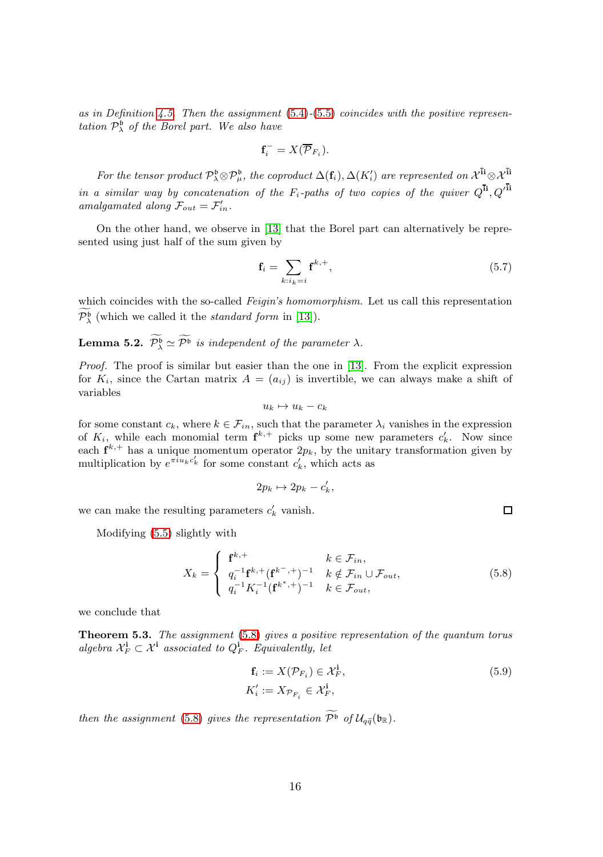as in Definition [4.5.](#page-12-1) Then the assignment  $(5.4)-(5.5)$  $(5.4)-(5.5)$  $(5.4)-(5.5)$  coincides with the positive representation  $\mathcal{P}_{\lambda}^{\mathfrak{b}}$  of the Borel part. We also have

$$
\mathbf{f}_i^- = X(\overline{\mathcal{P}}_{F_i}).
$$

For the tensor product  $\mathcal{P}^{\mathfrak{b}}_{\lambda} \otimes \mathcal{P}^{\mathfrak{b}}_{\mu}$ , the coproduct  $\Delta(\mathbf{f}_i), \Delta(K'_i)$  are represented on  $\mathcal{X}^{\mathbf{ii}} \otimes \mathcal{X}^{\mathbf{ii}}$ in a similar way by concatenation of the  $F_i$ -paths of two copies of the quiver  $Q^{ii}, Q^{\prime ii}$ amalgamated along  $\mathcal{F}_{out} = \mathcal{F}'_{in}$ .

On the other hand, we observe in [\[13\]](#page-28-0) that the Borel part can alternatively be represented using just half of the sum given by

$$
\mathbf{f}_i = \sum_{k:i_k=i} \mathbf{f}^{k,+},\tag{5.7}
$$

which coincides with the so-called Feigin's homomorphism. Let us call this representation  $\mathcal{P}_{\lambda}^{\mathfrak{b}}$  (which we called it the *standard form* in [\[13\]](#page-28-0)).

<span id="page-15-1"></span>**Lemma 5.2.**  $\mathcal{P}_{\lambda}^{b} \simeq \mathcal{P}^{b}$  is independent of the parameter  $\lambda$ .

Proof. The proof is similar but easier than the one in [\[13\]](#page-28-0). From the explicit expression for  $K_i$ , since the Cartan matrix  $A = (a_{ij})$  is invertible, we can always make a shift of variables

$$
u_k \mapsto u_k - c_k
$$

for some constant  $c_k$ , where  $k \in \mathcal{F}_{in}$ , such that the parameter  $\lambda_i$  vanishes in the expression of  $K_i$ , while each monomial term  $f^{k,+}$  picks up some new parameters  $c'_k$ . Now since each  $f^{k,+}$  has a unique momentum operator  $2p_k$ , by the unitary transformation given by multiplication by  $e^{\pi i u_k c'_k}$  for some constant  $c'_k$ , which acts as

$$
2p_k \mapsto 2p_k - c'_k,
$$

we can make the resulting parameters  $c'_{k}$  vanish.

Modifying [\(5.5\)](#page-14-2) slightly with

$$
X_k = \begin{cases} \mathbf{f}^{k,+} & k \in \mathcal{F}_{in}, \\ q_i^{-1} \mathbf{f}^{k,+} (\mathbf{f}^{k^-,+})^{-1} & k \notin \mathcal{F}_{in} \cup \mathcal{F}_{out}, \\ q_i^{-1} K_i^{-1} (\mathbf{f}^{k^+,+})^{-1} & k \in \mathcal{F}_{out}, \end{cases}
$$
(5.8)

we conclude that

**Theorem 5.3.** The assignment  $(5.8)$  gives a positive representation of the quantum torus algebra  $\mathcal{X}_F^i \subset \mathcal{X}^i$  associated to  $Q_F^i$ . Equivalently, let

$$
\mathbf{f}_i := X(\mathcal{P}_{F_i}) \in \mathcal{X}_F^{\mathbf{i}},
$$
  
\n
$$
K'_i := X_{\mathcal{P}_{F_i}} \in \mathcal{X}_F^{\mathbf{i}},
$$
\n
$$
(5.9)
$$

then the assignment [\(5.8\)](#page-15-0) gives the representation  $\widetilde{\mathcal{P}^{\mathfrak{b}}}$  of  $\mathcal{U}_{q\widetilde{q}}(\mathfrak{b}_{\mathbb{R}})$ .

<span id="page-15-0"></span>□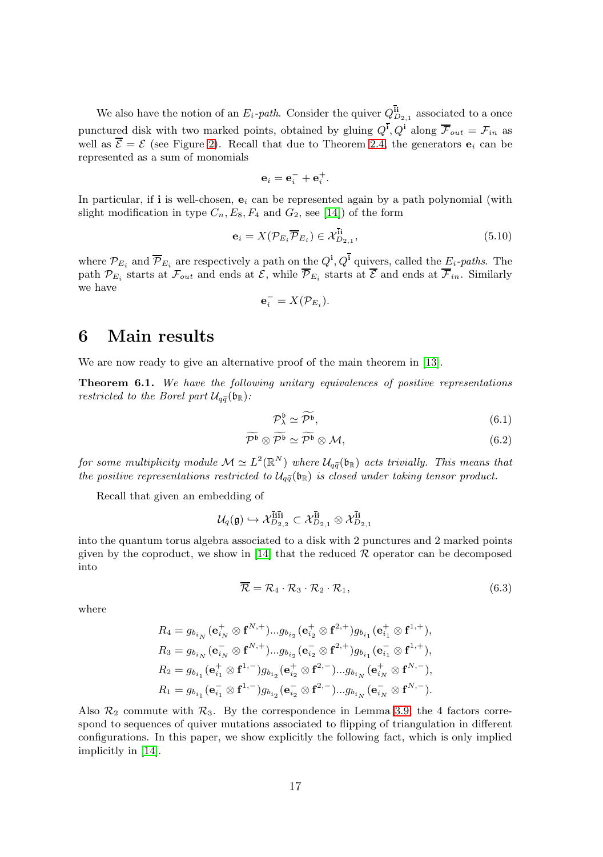We also have the notion of an  $E_i$ -path. Consider the quiver  $Q_{D_{2,1}}^{\mathbf{ii}}$  associated to a once punctured disk with two marked points, obtained by gluing  $Q^{\bar{i}}$ ,  $Q^{\bar{i}}$  along  $\overline{\mathcal{F}}_{out} = \mathcal{F}_{in}$  as well as  $\overline{\mathcal{E}} = \mathcal{E}$  (see Figure [2\)](#page-2-1). Recall that due to Theorem [2.4,](#page-6-1) the generators  $\mathbf{e}_i$  can be represented as a sum of monomials

$$
\mathbf{e}_i = \mathbf{e}_i^- + \mathbf{e}_i^+.
$$

In particular, if i is well-chosen,  $e_i$  can be represented again by a path polynomial (with slight modification in type  $C_n$ ,  $E_8$ ,  $F_4$  and  $G_2$ , see [\[14\]](#page-28-1)) of the form

$$
\mathbf{e}_{i} = X(\mathcal{P}_{E_{i}} \overline{\mathcal{P}}_{E_{i}}) \in \mathcal{X}_{D_{2,1}}^{\mathbf{ii}},\tag{5.10}
$$

where  $\mathcal{P}_{E_i}$  and  $\overline{\mathcal{P}}_{E_i}$  are respectively a path on the  $Q^i, Q^{\bar{i}}$  quivers, called the  $E_i$ -paths. The path  $\mathcal{P}_{E_i}$  starts at  $\mathcal{F}_{out}$  and ends at  $\mathcal{E}$ , while  $\mathcal{P}_{E_i}$  starts at  $\mathcal{E}$  and ends at  $\mathcal{F}_{in}$ . Similarly we have

$$
\mathbf{e}_i^- = X(\mathcal{P}_{E_i}).
$$

### <span id="page-16-0"></span>6 Main results

We are now ready to give an alternative proof of the main theorem in [\[13\]](#page-28-0).

<span id="page-16-1"></span>Theorem 6.1. We have the following unitary equivalences of positive representations restricted to the Borel part  $\mathcal{U}_{q\tilde{q}}(\mathfrak{b}_{\mathbb{R}})$ :

$$
\mathcal{P}_{\lambda}^{\mathfrak{b}} \simeq \widetilde{\mathcal{P}^{\mathfrak{b}}},\tag{6.1}
$$

$$
\widetilde{\mathcal{P}^{\mathfrak{b}}} \otimes \widetilde{\mathcal{P}^{\mathfrak{b}}} \simeq \widetilde{\mathcal{P}^{\mathfrak{b}}} \otimes \mathcal{M}, \tag{6.2}
$$

for some multiplicity module  $\mathcal{M} \simeq L^2(\mathbb{R}^N)$  where  $\mathcal{U}_{q\tilde{q}}(\mathfrak{b}_\mathbb{R})$  acts trivially. This means that the positive representations restricted to  $\mathcal{U}_{q\tilde{q}}(\mathfrak{b}_{\mathbb{R}})$  is closed under taking tensor product.

Recall that given an embedding of

$$
\mathcal{U}_q(\mathfrak{g}) \hookrightarrow \mathcal{X}_{D_{2,2}}^{\overline{\mathbf{1}}\mathbf{i}\overline{\mathbf{1}}\mathbf{i}} \subset \mathcal{X}_{D_{2,1}}^{\overline{\mathbf{1}}\mathbf{i}} \otimes \mathcal{X}_{D_{2,1}}^{\overline{\mathbf{1}}\mathbf{i}}
$$

into the quantum torus algebra associated to a disk with 2 punctures and 2 marked points given by the coproduct, we show in [\[14\]](#page-28-1) that the reduced  $\mathcal R$  operator can be decomposed into

$$
\overline{\mathcal{R}} = \mathcal{R}_4 \cdot \mathcal{R}_3 \cdot \mathcal{R}_2 \cdot \mathcal{R}_1, \tag{6.3}
$$

where

$$
\begin{aligned} R_4 &= g_{b_{i_N}}(\mathbf{e}_{i_N}^+\otimes\mathbf{f}^{N,+})...g_{b_{i_2}}(\mathbf{e}_{i_2}^+\otimes\mathbf{f}^{2,+})g_{b_{i_1}}(\mathbf{e}_{i_1}^+\otimes\mathbf{f}^{1,+}),\\ R_3 &= g_{b_{i_N}}(\mathbf{e}_{i_N}^-\otimes\mathbf{f}^{N,+})...g_{b_{i_2}}(\mathbf{e}_{i_2}^-\otimes\mathbf{f}^{2,+})g_{b_{i_1}}(\mathbf{e}_{i_1}^-\otimes\mathbf{f}^{1,+}),\\ R_2 &= g_{b_{i_1}}(\mathbf{e}_{i_1}^+\otimes\mathbf{f}^{1,-})g_{b_{i_2}}(\mathbf{e}_{i_2}^+\otimes\mathbf{f}^{2,-})...g_{b_{i_N}}(\mathbf{e}_{i_N}^+\otimes\mathbf{f}^{N,-}),\\ R_1 &= g_{b_{i_1}}(\mathbf{e}_{i_1}^-\otimes\mathbf{f}^{1,-})g_{b_{i_2}}(\mathbf{e}_{i_2}^-\otimes\mathbf{f}^{2,-})...g_{b_{i_N}}(\mathbf{e}_{i_N}^-\otimes\mathbf{f}^{N,-}). \end{aligned}
$$

Also  $\mathcal{R}_2$  commute with  $\mathcal{R}_3$ . By the correspondence in Lemma [3.9,](#page-10-0) the 4 factors correspond to sequences of quiver mutations associated to flipping of triangulation in different configurations. In this paper, we show explicitly the following fact, which is only implied implicitly in [\[14\]](#page-28-1).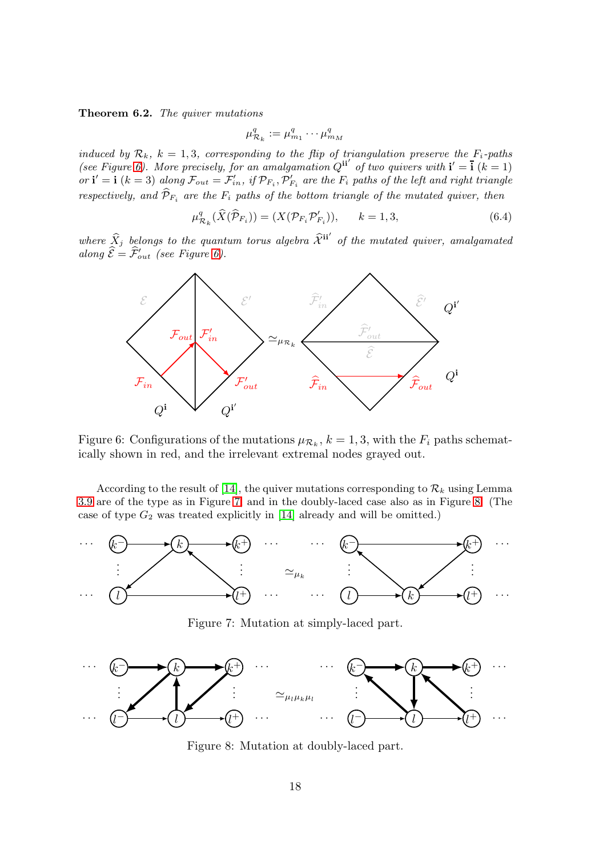Theorem 6.2. The quiver mutations

$$
\mu_{\mathcal{R}_k}^q := \mu_{m_1}^q \cdots \mu_{m_M}^q
$$

induced by  $\mathcal{R}_k$ ,  $k = 1, 3$ , corresponding to the flip of triangulation preserve the  $F_i$ -paths (see Figure [6\)](#page-17-0). More precisely, for an amalgamation  $Q^{i i'}$  of two quivers with  $i' = i (k = 1)$ or  $\mathbf{i}' = \mathbf{i}$  ( $k = 3$ ) along  $\mathcal{F}_{out} = \mathcal{F}'_{in}$ , if  $\mathcal{P}_{F_i}, \mathcal{P}'_{F_i}$  are the  $F_i$  paths of the left and right triangle respectively, and  $\widehat{\mathcal{P}}_{F_i}$  are the  $F_i$  paths of the bottom triangle of the mutated quiver, then

$$
\mu_{\mathcal{R}_k}^q(\hat{X}(\hat{\mathcal{P}}_{F_i})) = (X(\mathcal{P}_{F_i}\mathcal{P}'_{F_i})), \qquad k = 1, 3,
$$
\n(6.4)

<span id="page-17-0"></span>where  $\widehat{X}_j$  belongs to the quantum torus algebra  $\widehat{X}^{ii'}$  of the mutated quiver, amalgamated along  $\mathcal{E} = \mathcal{F}_{out}'$  (see Figure [6\)](#page-17-0).



Figure 6: Configurations of the mutations  $\mu_{\mathcal{R}_k}$ ,  $k = 1, 3$ , with the  $F_i$  paths schematically shown in red, and the irrelevant extremal nodes grayed out.

According to the result of [\[14\]](#page-28-1), the quiver mutations corresponding to  $\mathcal{R}_k$  using Lemma [3.9](#page-10-0) are of the type as in Figure [7,](#page-17-1) and in the doubly-laced case also as in Figure [8.](#page-17-2) (The case of type  $G_2$  was treated explicitly in [\[14\]](#page-28-1) already and will be omitted.)

<span id="page-17-1"></span>

Figure 7: Mutation at simply-laced part.

<span id="page-17-2"></span>

Figure 8: Mutation at doubly-laced part.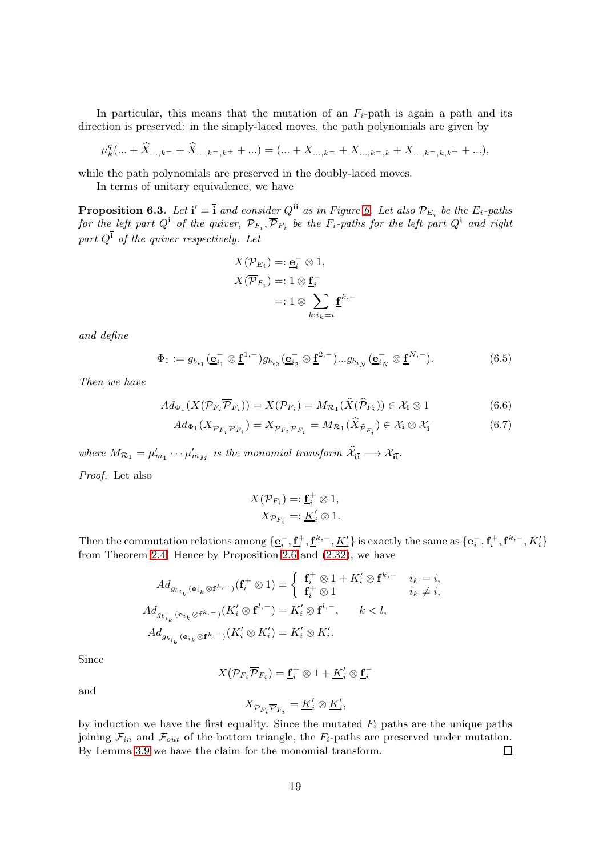In particular, this means that the mutation of an  $F_i$ -path is again a path and its direction is preserved: in the simply-laced moves, the path polynomials are given by

$$
\mu_k^q(\ldots + \widehat{X}_{\ldots, k-} + \widehat{X}_{\ldots, k-}, k+ + \ldots) = (\ldots + X_{\ldots, k-} + X_{\ldots, k-}, k+X_{\ldots, k-}, k+ + \ldots),
$$

while the path polynomials are preserved in the doubly-laced moves.

In terms of unitary equivalence, we have

<span id="page-18-0"></span>**Proposition [6.](#page-17-0)3.** Let  $\mathbf{i}' = \overline{\mathbf{i}}$  and consider  $Q^{\mathbf{i}\overline{\mathbf{i}}}$  as in Figure 6. Let also  $\mathcal{P}_{E_i}$  be the  $E_i$ -paths for the left part  $Q^i$  of the quiver,  $\mathcal{P}_{F_i}, \overline{\mathcal{P}}_{F_i}$  be the  $F_i$ -paths for the left part  $Q^i$  and right part  $Q^{\mathbf{i}}$  of the quiver respectively. Let

<span id="page-18-1"></span>
$$
X(\mathcal{P}_{E_i}) = \underline{\mathbf{e}}_i \otimes 1,
$$
  
\n
$$
X(\overline{\mathcal{P}}_{F_i}) = 1 \otimes \underline{\mathbf{f}}_i^-
$$
  
\n
$$
= 1 \otimes \sum_{k:i_k=i} \underline{\mathbf{f}}^{k,-}
$$

and define

$$
\Phi_1 := g_{b_{i_1}}\left(\mathbf{e}_{i_1}^-\otimes \mathbf{\underline{f}}^{1,-}\right)g_{b_{i_2}}\left(\mathbf{e}_{i_2}^-\otimes \mathbf{\underline{f}}^{2,-}\right)\dots g_{b_{i_N}}\left(\mathbf{e}_{i_N}^-\otimes \mathbf{\underline{f}}^{N,-}\right). \tag{6.5}
$$

Then we have

$$
Ad_{\Phi_1}(X(\mathcal{P}_{F_i}\overline{\mathcal{P}}_{F_i})) = X(\mathcal{P}_{F_i}) = M_{\mathcal{R}_1}(\widehat{X}(\widehat{\mathcal{P}}_{F_i})) \in \mathcal{X}_i \otimes 1 \tag{6.6}
$$

$$
Ad_{\Phi_1}(X_{\mathcal{P}_{F_i}\overline{\mathcal{P}}_{F_i}}) = X_{\mathcal{P}_{F_i}\overline{\mathcal{P}}_{F_i}} = M_{\mathcal{R}_1}(\widehat{X}_{\widehat{\mathcal{P}}_{F_i}}) \in \mathcal{X}_i \otimes \mathcal{X}_{\overline{i}}
$$
(6.7)

where  $M_{\mathcal{R}_1} = \mu'_{m_1} \cdots \mu'_{m_M}$  is the monomial transform  $\mathcal{X}_{i\bar{i}} \longrightarrow \mathcal{X}_{i\bar{i}}$ .

Proof. Let also

$$
X(\mathcal{P}_{F_i}) =: \underline{\mathbf{f}}_i^+ \otimes 1,
$$
  

$$
X_{\mathcal{P}_{F_i}} =: \underline{K}'_i \otimes 1.
$$

Then the commutation relations among  $\{\underline{\mathbf{e}}_i^-, \underline{\mathbf{f}}_i^+, \underline{\mathbf{f}}^{k,-}, \underline{K}'_i\}$  is exactly the same as  $\{\mathbf{e}_i^-, \mathbf{f}_i^+, \mathbf{f}^{k,-}, K'_i\}$ from Theorem [2.4.](#page-6-1) Hence by Proposition [2.6](#page-7-1) and [\(2.32\)](#page-8-2), we have

$$
\begin{aligned} Ad_{g_{b_{i_k}}(\mathbf{e}_{i_k}\otimes \mathbf{f}^{k,-})}(\mathbf{f}_i^+ \otimes 1) &= \left\{ \begin{array}{l l} \mathbf{f}_i^+ \otimes 1 + K_i' \otimes \mathbf{f}^{k,-} & i_k = i, \\ \mathbf{f}_i^+ \otimes 1 & i_k \neq i, \end{array} \right. \\ Ad_{g_{b_{i_k}}(\mathbf{e}_{i_k}\otimes \mathbf{f}^{k,-})}(K_i' \otimes \mathbf{f}^{l,-}) &= K_i' \otimes \mathbf{f}^{l,-}, \qquad k < l, \\ Ad_{g_{b_{i_k}}(\mathbf{e}_{i_k}\otimes \mathbf{f}^{k,-})}(K_i' \otimes K_i') &= K_i' \otimes K_i'. \end{aligned}
$$

Since

 $X(\mathcal{P}_{F_i} \overline{\mathcal{P}}_{F_i}) = \underline{\mathbf{f}}_i^+ \otimes 1 + \underline{K}'_i \otimes \underline{\mathbf{f}}_i^-$ 

and

$$
X_{{\mathcal{P}}_{F_i}\overline{{\mathcal{P}}}_{F_i}} = \underline{K}'_i \otimes \underline{K}'_i,
$$

by induction we have the first equality. Since the mutated  $F_i$  paths are the unique paths joining  $\mathcal{F}_{in}$  and  $\mathcal{F}_{out}$  of the bottom triangle, the  $F_i$ -paths are preserved under mutation.<br>By Lemma 3.9 we have the claim for the monomial transform. By Lemma [3.9](#page-10-0) we have the claim for the monomial transform.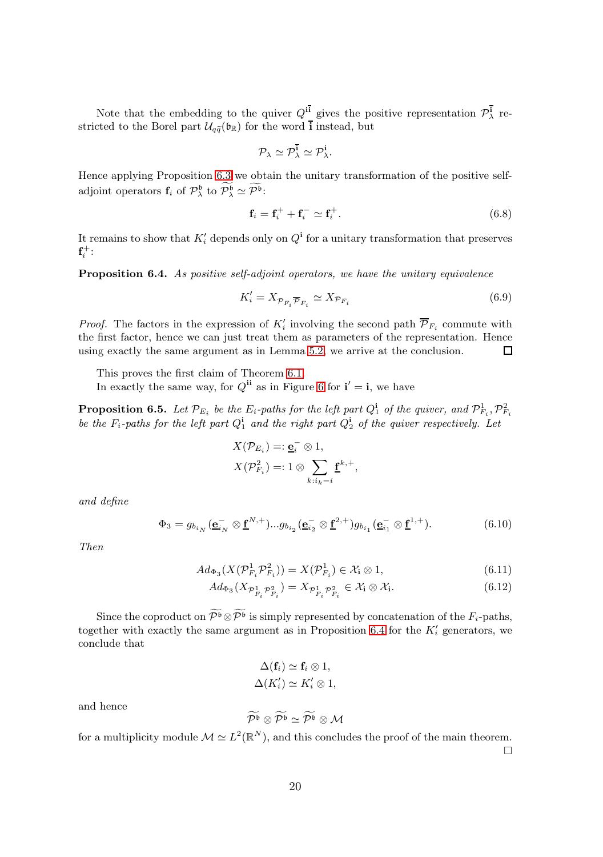Note that the embedding to the quiver  $Q^{i\bar{i}}$  gives the positive representation  $\mathcal{P}_{\lambda}^{\bar{i}}$  restricted to the Borel part  $\mathcal{U}_{q\tilde{q}}(\mathfrak{b}_{\mathbb{R}})$  for the word  $\overline{\mathbf{i}}$  instead, but

$$
\mathcal{P}_{\lambda} \simeq \mathcal{P}_{\lambda}^{\mathbf{i}} \simeq \mathcal{P}_{\lambda}^{\mathbf{i}}.
$$

Hence applying Proposition [6.3](#page-18-0) we obtain the unitary transformation of the positive selfadjoint operators  $\mathbf{f}_i$  of  $\mathcal{P}^{\mathfrak{b}}_{\lambda}$  to  $\mathcal{P}^{\mathfrak{b}}_{\lambda} \simeq \mathcal{P}^{\mathfrak{b}}$ :

$$
\mathbf{f}_i = \mathbf{f}_i^+ + \mathbf{f}_i^- \simeq \mathbf{f}_i^+.
$$
\n(6.8)

It remains to show that  $K'_{i}$  depends only on  $Q^{i}$  for a unitary transformation that preserves  $\mathbf{f}_{i}^{+}$ :

<span id="page-19-0"></span>Proposition 6.4. As positive self-adjoint operators, we have the unitary equivalence

$$
K_i' = X_{\mathcal{P}_{F_i} \overline{\mathcal{P}}_{F_i}} \simeq X_{\mathcal{P}_{F_i}} \tag{6.9}
$$

*Proof.* The factors in the expression of  $K'_{i}$  involving the second path  $\mathcal{P}_{F_{i}}$  commute with the first factor, hence we can just treat them as parameters of the representation. Hence using exactly the same argument as in Lemma [5.2,](#page-15-1) we arrive at the conclusion. □

This proves the first claim of Theorem [6.1.](#page-16-1)

In exactly the same way, for  $Q^{ii}$  as in Figure [6](#page-17-0) for  $i' = i$ , we have

**Proposition 6.5.** Let  $\mathcal{P}_{E_i}$  be the  $E_i$ -paths for the left part  $Q_1^i$  of the quiver, and  $\mathcal{P}_{F_i}^1$ ,  $\mathcal{P}_{F_i}^2$ be the  $F_i$ -paths for the left part  $Q_1^i$  and the right part  $Q_2^i$  of the quiver respectively. Let

<span id="page-19-1"></span>
$$
X(\mathcal{P}_{E_i}) = \mathbf{\underline{e}}_i^{-} \otimes 1,
$$
  

$$
X(\mathcal{P}_{F_i}^2) =: 1 \otimes \sum_{k:i_k=i} \underline{\mathbf{f}}^{k,+},
$$

and define

$$
\Phi_3 = g_{b_{i_N}}(\underline{\mathbf{e}}_{i_N}^- \otimes \underline{\mathbf{f}}^{N,+})...g_{b_{i_2}}(\underline{\mathbf{e}}_{i_2}^- \otimes \underline{\mathbf{f}}^{2,+})g_{b_{i_1}}(\underline{\mathbf{e}}_{i_1}^- \otimes \underline{\mathbf{f}}^{1,+}).
$$
\n(6.10)

Then

$$
Ad_{\Phi_3}(X(\mathcal{P}_{F_i}^1 \mathcal{P}_{F_i}^2)) = X(\mathcal{P}_{F_i}^1) \in \mathcal{X}_i \otimes 1,
$$
\n
$$
(6.11)
$$

$$
Ad_{\Phi_3}(X_{\mathcal{P}_{F_i}^1} \mathcal{P}_{F_i}^2) = X_{\mathcal{P}_{F_i}^1} \mathcal{P}_{F_i}^2 \in \mathcal{X}_i \otimes \mathcal{X}_i.
$$
 (6.12)

Since the coproduct on  $\widetilde{\mathcal{P}^{\mathfrak{b}}} \otimes \widetilde{\mathcal{P}^{\mathfrak{b}}}$  is simply represented by concatenation of the  $F_i$ -paths, together with exactly the same argument as in Proposition [6.4](#page-19-0) for the  $K'_{i}$  generators, we conclude that

$$
\Delta(\mathbf{f}_i) \simeq \mathbf{f}_i \otimes 1,
$$
  

$$
\Delta(K'_i) \simeq K'_i \otimes 1,
$$

and hence

$$
\widetilde{\mathcal{P}^{\mathfrak{b}}} \otimes \widetilde{\mathcal{P}^{\mathfrak{b}}} \simeq \widetilde{\mathcal{P}^{\mathfrak{b}}} \otimes \mathcal{M}
$$

for a multiplicity module  $\mathcal{M} \simeq L^2(\mathbb{R}^N)$ , and this concludes the proof of the main theorem.  $\Box$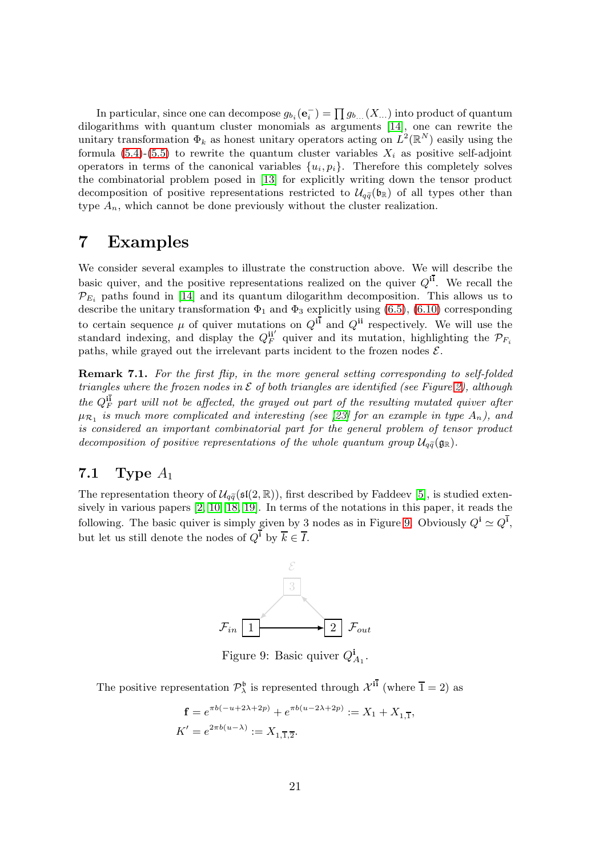In particular, since one can decompose  $g_{b_i}(\mathbf{e}_i) = \prod g_{b_{i,i}}(X_{i,i})$  into product of quantum dilogarithms with quantum cluster monomials as arguments [\[14\]](#page-28-1), one can rewrite the unitary transformation  $\Phi_k$  as honest unitary operators acting on  $L^2(\mathbb{R}^N)$  easily using the formula [\(5.4\)](#page-14-1)-[\(5.5\)](#page-14-2) to rewrite the quantum cluster variables  $X_i$  as positive self-adjoint operators in terms of the canonical variables  $\{u_i, p_i\}$ . Therefore this completely solves the combinatorial problem posed in [\[13\]](#page-28-0) for explicitly writing down the tensor product decomposition of positive representations restricted to  $\mathcal{U}_{q\tilde{q}}(\mathfrak{b}_{\mathbb{R}})$  of all types other than type  $A_n$ , which cannot be done previously without the cluster realization.

## <span id="page-20-0"></span>7 Examples

We consider several examples to illustrate the construction above. We will describe the basic quiver, and the positive representations realized on the quiver  $Q^{i\bar{i}}$ . We recall the  $\mathcal{P}_E$  paths found in [\[14\]](#page-28-1) and its quantum dilogarithm decomposition. This allows us to describe the unitary transformation  $\Phi_1$  and  $\Phi_3$  explicitly using [\(6.5\)](#page-18-1), [\(6.10\)](#page-19-1) corresponding to certain sequence  $\mu$  of quiver mutations on  $Q^{i\bar{i}}$  and  $Q^{i\bar{i}}$  respectively. We will use the standard indexing, and display the  $Q_F^{\text{H}}$  quiver and its mutation, highlighting the  $\mathcal{P}_{F_i}$ paths, while grayed out the irrelevant parts incident to the frozen nodes  $\mathcal{E}$ .

**Remark 7.1.** For the first flip, in the more general setting corresponding to self-folded triangles where the frozen nodes in  $\mathcal E$  of both triangles are identified (see Figure [2\)](#page-2-1), although the  $Q_F^{\mathbf{i}\bar{\mathbf{i}}}$  part will not be affected, the grayed out part of the resulting mutated quiver after  $\mu_{\mathcal{R}_1}$  is much more complicated and interesting (see [\[23\]](#page-29-1) for an example in type  $A_n$ ), and is considered an important combinatorial part for the general problem of tensor product decomposition of positive representations of the whole quantum group  $\mathcal{U}_{q\tilde{q}}(\mathfrak{g}_{\mathbb{R}})$ .

### 7.1 Type  $A_1$

<span id="page-20-1"></span>The representation theory of  $\mathcal{U}_{q\bar{q}}(\mathfrak{sl}(2,\mathbb{R}))$ , first described by Faddeev [\[5\]](#page-28-6), is studied extensively in various papers [\[2,](#page-28-7) [10,](#page-28-12) [18,](#page-28-8) [19\]](#page-28-9). In terms of the notations in this paper, it reads the following. The basic quiver is simply given by 3 nodes as in Figure [9.](#page-20-1) Obviously  $Q^i \simeq Q^{\bar{i}}$ , but let us still denote the nodes of  $Q^{\bar{i}}$  by  $\bar{k} \in \bar{I}$ .



Figure 9: Basic quiver  $Q_{A_1}^{\mathbf{i}}$ .

The positive representation  $\mathcal{P}_{\lambda}^{\mathfrak{b}}$  is represented through  $\mathcal{X}^{i\bar{i}}$  (where  $\bar{1} = 2$ ) as

$$
\mathbf{f} = e^{\pi b(-u+2\lambda+2p)} + e^{\pi b(u-2\lambda+2p)} := X_1 + X_{1,\overline{1}},
$$
  

$$
K' = e^{2\pi b(u-\lambda)} := X_{1,\overline{1},\overline{2}}.
$$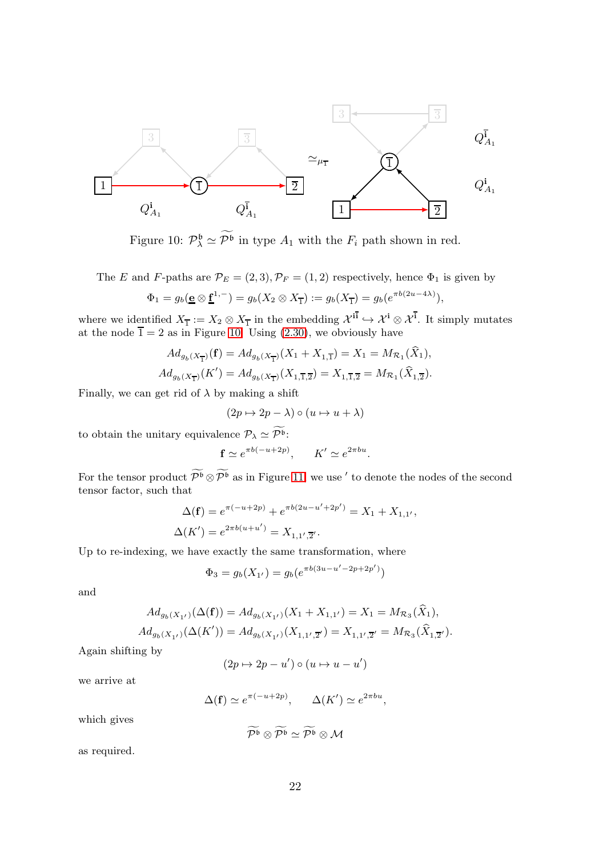<span id="page-21-0"></span>

Figure 10:  $\mathcal{P}_{\lambda}^{\mathfrak{b}} \simeq \widetilde{\mathcal{P}^{\mathfrak{b}}}$  in type  $A_1$  with the  $F_i$  path shown in red.

The E and F-paths are  $\mathcal{P}_E = (2, 3), \mathcal{P}_F = (1, 2)$  respectively, hence  $\Phi_1$  is given by

$$
\Phi_1 = g_b(\underline{\mathbf{e}} \otimes \underline{\mathbf{f}}^{1,-}) = g_b(X_2 \otimes X_{\overline{1}}) := g_b(X_{\overline{1}}) = g_b(e^{\pi b(2u-4\lambda)}),
$$

where we identified  $X_{\overline{1}} := X_2 \otimes X_{\overline{1}}$  in the embedding  $\mathcal{X}^{i\overline{i}} \hookrightarrow \mathcal{X}^{i} \otimes \mathcal{X}^{\overline{i}}$ . It simply mutates at the node  $1 = 2$  as in Figure [10.](#page-21-0) Using  $(2.30)$ , we obviously have

$$
Ad_{g_b(X_{\overline{1}})}(\mathbf{f}) = Ad_{g_b(X_{\overline{1}})}(X_1 + X_{1,\overline{1}}) = X_1 = M_{\mathcal{R}_1}(\hat{X}_1),
$$
  

$$
Ad_{g_b(X_{\overline{1}})}(K') = Ad_{g_b(X_{\overline{1}})}(X_{1,\overline{1},\overline{2}}) = X_{1,\overline{1},\overline{2}} = M_{\mathcal{R}_1}(\hat{X}_{1,\overline{2}}).
$$

Finally, we can get rid of  $\lambda$  by making a shift

$$
(2p \mapsto 2p - \lambda) \circ (u \mapsto u + \lambda)
$$

to obtain the unitary equivalence  $\mathcal{P}_{\lambda} \simeq \widetilde{\mathcal{P}^{\mathfrak{b}}}$ :

$$
\mathbf{f} \simeq e^{\pi b(-u+2p)}, \qquad K' \simeq e^{2\pi bu}.
$$

For the tensor product  $\mathcal{P}^{\mathfrak{b}} \otimes \mathcal{P}^{\mathfrak{b}}$  as in Figure [11,](#page-22-0) we use  $'$  to denote the nodes of the second tensor factor, such that

$$
\Delta(\mathbf{f}) = e^{\pi(-u+2p)} + e^{\pi b(2u-u'+2p')} = X_1 + X_{1,1'},
$$
  

$$
\Delta(K') = e^{2\pi b(u+u')} = X_{1,1',2'}.
$$

Up to re-indexing, we have exactly the same transformation, where

$$
\Phi_3 = g_b(X_{1'}) = g_b(e^{\pi b(3u - u' - 2p + 2p')})
$$

and

$$
Ad_{g_b(X_{1'})}(\Delta(f)) = Ad_{g_b(X_{1'})}(X_1 + X_{1,1'}) = X_1 = M_{\mathcal{R}_3}(X_1),
$$
  

$$
Ad_{g_b(X_{1'})}(\Delta(K')) = Ad_{g_b(X_{1'})}(X_{1,1',2'}) = X_{1,1',2'} = M_{\mathcal{R}_3}(\widehat{X}_{1,2'}).
$$

Again shifting by

$$
(2p \mapsto 2p - u') \circ (u \mapsto u - u')
$$

we arrive at

$$
\Delta(\mathbf{f}) \simeq e^{\pi(-u+2p)}, \qquad \Delta(K') \simeq e^{2\pi bu},
$$

which gives

$$
\widetilde{\mathcal{P}^{\mathfrak{b}}} \otimes \widetilde{\mathcal{P}^{\mathfrak{b}}} \simeq \widetilde{\mathcal{P}^{\mathfrak{b}}} \otimes \mathcal{M}
$$

as required.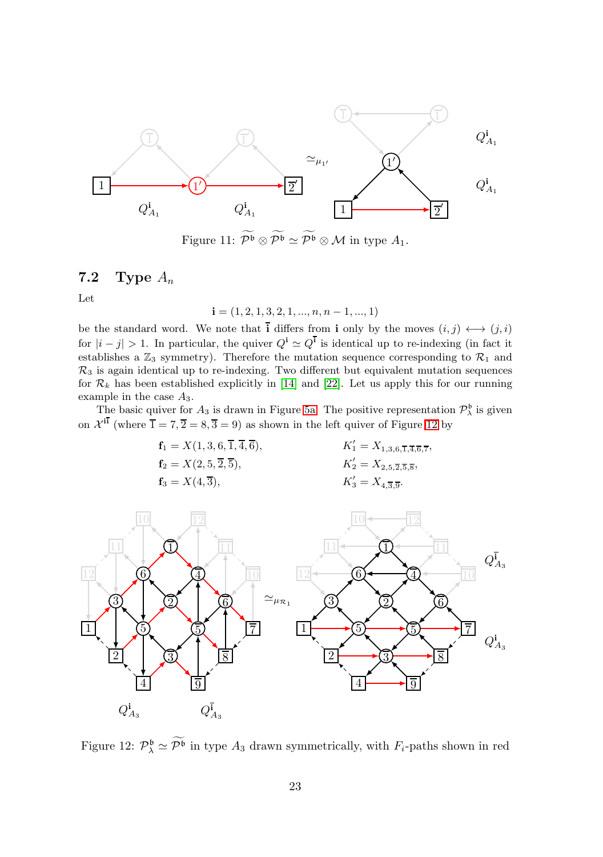<span id="page-22-0"></span>

Figure 11:  $\widetilde{\mathcal{P}^{\mathfrak{b}}} \otimes \widetilde{\mathcal{P}^{\mathfrak{b}}} \simeq \widetilde{\mathcal{P}^{\mathfrak{b}}} \otimes \mathcal{M}$  in type  $A_1$ .

### 7.2 Type  $A_n$

Let

$$
\mathbf{i} = (1, 2, 1, 3, 2, 1, ..., n, n - 1, ..., 1)
$$

be the standard word. We note that i differs from i only by the moves  $(i, j) \leftrightarrow (j, i)$ for  $|i - j| > 1$ . In particular, the quiver  $Q^i \simeq Q^{\bar{i}}$  is identical up to re-indexing (in fact it establishes a  $\mathbb{Z}_3$  symmetry). Therefore the mutation sequence corresponding to  $\mathcal{R}_1$  and  $\mathcal{R}_3$  is again identical up to re-indexing. Two different but equivalent mutation sequences for  $\mathcal{R}_k$  has been established explicitly in [\[14\]](#page-28-1) and [\[22\]](#page-29-2). Let us apply this for our running example in the case A3.

The basic quiver for  $A_3$  is drawn in Figure [5a.](#page-13-0) The positive representation  $\mathcal{P}^{\mathfrak{b}}_{\lambda}$  is given on  $\mathcal{X}^{i\bar{i}}$  (where  $\bar{1} = 7, \bar{2} = 8, \bar{3} = 9$ ) as shown in the left quiver of Figure [12](#page-22-1) by

| $f_1 = X(1, 3, 6, \overline{1}, \overline{4}, \overline{6}),$ | $K'_1 = X_{1,3,6, \overline{1}, \overline{4}, \overline{6}, \overline{7}},$ |
|---------------------------------------------------------------|-----------------------------------------------------------------------------|
| $f_2 = X(2, 5, \overline{2}, \overline{5}),$                  | $K'_2 = X_{2,5, \overline{2}, \overline{5}, \overline{8}},$                 |
| $f_3 = X(4, \overline{3}),$                                   | $K'_3 = X_{4, \overline{3}, \overline{9}}.$                                 |

<span id="page-22-1"></span>

Figure 12:  $\mathcal{P}_{\lambda}^{\mathfrak{b}} \simeq \widetilde{\mathcal{P}^{\mathfrak{b}}}$  in type  $A_3$  drawn symmetrically, with  $F_i$ -paths shown in red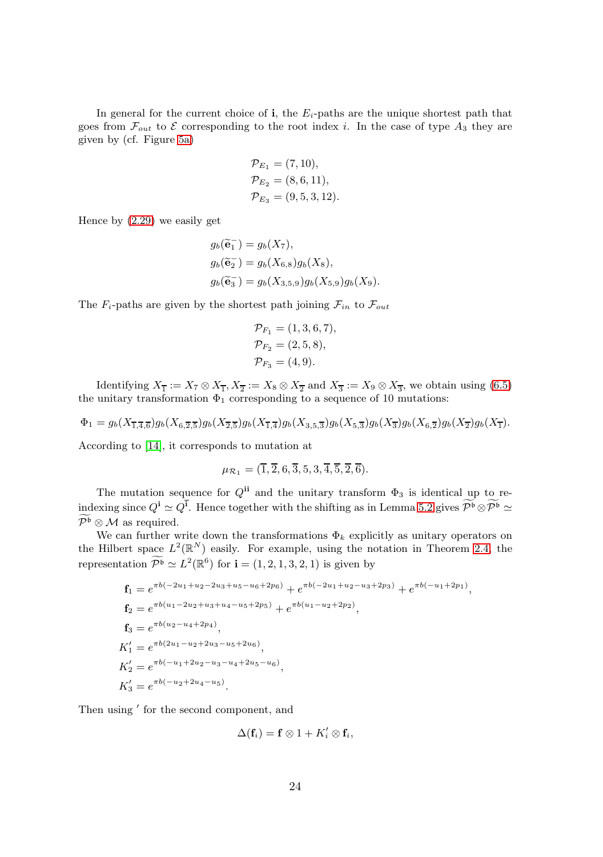In general for the current choice of i, the  $E_i$ -paths are the unique shortest path that goes from  $\mathcal{F}_{out}$  to  $\mathcal E$  corresponding to the root index *i*. In the case of type  $A_3$  they are given by (cf. Figure [5a\)](#page-13-0)

$$
\mathcal{P}_{E_1} = (7, 10), \n\mathcal{P}_{E_2} = (8, 6, 11), \n\mathcal{P}_{E_3} = (9, 5, 3, 12).
$$

Hence by [\(2.29\)](#page-7-2) we easily get

$$
g_b(\widetilde{\mathbf{e}}_1^-) = g_b(X_7),
$$
  
\n
$$
g_b(\widetilde{\mathbf{e}}_2^-) = g_b(X_{6,8})g_b(X_8),
$$
  
\n
$$
g_b(\widetilde{\mathbf{e}}_3^-) = g_b(X_{3,5,9})g_b(X_{5,9})g_b(X_9).
$$

The  $F_i$ -paths are given by the shortest path joining  $\mathcal{F}_{in}$  to  $\mathcal{F}_{out}$ 

−

$$
\mathcal{P}_{F_1} = (1, 3, 6, 7), \n\mathcal{P}_{F_2} = (2, 5, 8), \n\mathcal{P}_{F_3} = (4, 9).
$$

Identifying  $X_{\overline{1}} := X_7 \otimes X_{\overline{1}}, X_{\overline{2}} := X_8 \otimes X_{\overline{2}}$  and  $X_{\overline{3}} := X_9 \otimes X_{\overline{3}}$ , we obtain using [\(6.5\)](#page-18-1) the unitary transformation  $\Phi_1$  corresponding to a sequence of 10 mutations:

$$
\Phi_1 = g_b(X_{\overline{1},\overline{4},\overline{6}})g_b(X_{6,\overline{2},\overline{5}})g_b(X_{\overline{2},\overline{5}})g_b(X_{\overline{1},\overline{4}})g_b(X_{3,5,\overline{3}})g_b(X_{5,\overline{3}})g_b(X_{\overline{3}})g_b(X_{6,\overline{2}})g_b(X_{\overline{2}})g_b(X_{\overline{1}}).
$$

According to [\[14\]](#page-28-1), it corresponds to mutation at

$$
\mu_{\mathcal{R}_1} = (\overline{1}, \overline{2}, 6, \overline{3}, 5, 3, \overline{4}, \overline{5}, \overline{2}, \overline{6}).
$$

The mutation sequence for  $Q^{ii}$  and the unitary transform  $\Phi_3$  is identical up to reindexing since  $Q^i \simeq Q^{\bar{i}}$ . Hence together with the shifting as in Lemma [5.2](#page-15-1) gives  $\widetilde{\mathcal{P}}^{\mathfrak{b}} \otimes \widetilde{\mathcal{P}}^{\mathfrak{b}} \simeq$  $\widetilde{\mathcal{P}^{\mathfrak{b}}} \otimes \mathcal{M}$  as required.

We can further write down the transformations  $\Phi_k$  explicitly as unitary operators on the Hilbert space  $L^2(\mathbb{R}^N)$  easily. For example, using the notation in Theorem [2.4,](#page-6-1) the representation  $\mathcal{P}^{\mathfrak{b}} \simeq L^2(\mathbb{R}^6)$  for  $\mathbf{i} = (1, 2, 1, 3, 2, 1)$  is given by

$$
\mathbf{f}_1 = e^{\pi b(-2u_1 + u_2 - 2u_3 + u_5 - u_6 + 2p_6)} + e^{\pi b(-2u_1 + u_2 - u_3 + 2p_3)} + e^{\pi b(-u_1 + 2p_1)},
$$
\n
$$
\mathbf{f}_2 = e^{\pi b(u_1 - 2u_2 + u_3 + u_4 - u_5 + 2p_5)} + e^{\pi b(u_1 - u_2 + 2p_2)},
$$
\n
$$
\mathbf{f}_3 = e^{\pi b(u_2 - u_4 + 2p_4)},
$$
\n
$$
K'_1 = e^{\pi b(2u_1 - u_2 + 2u_3 - u_5 + 2u_6)},
$$
\n
$$
K'_2 = e^{\pi b(-u_1 + 2u_2 - u_3 - u_4 + 2u_5 - u_6)},
$$
\n
$$
K'_3 = e^{\pi b(-u_2 + 2u_4 - u_5)}.
$$

Then using ′ for the second component, and

$$
\Delta(\mathbf{f}_i)=\mathbf{f}\otimes 1+K_i'\otimes \mathbf{f}_i,
$$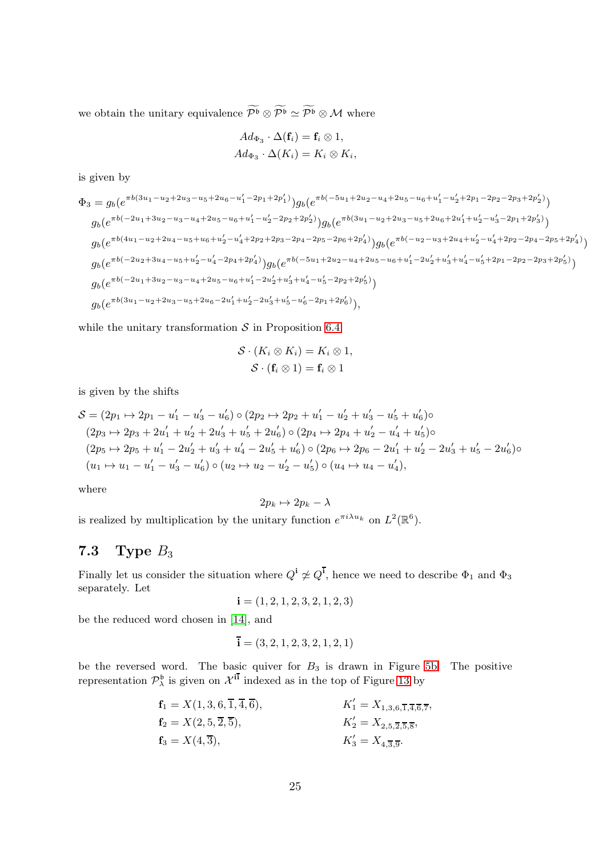we obtain the unitary equivalence  $\widetilde{P}^{\tilde{b}} \otimes \widetilde{P}^{\tilde{b}} \simeq \widetilde{P}^{\tilde{b}} \otimes M$  where

$$
Ad_{\Phi_3} \cdot \Delta(\mathbf{f}_i) = \mathbf{f}_i \otimes 1,
$$
  

$$
Ad_{\Phi_3} \cdot \Delta(K_i) = K_i \otimes K_i,
$$

is given by

$$
\begin{array}{l} \Phi_3=g_b(e^{\pi b(3u_1-u_2+2u_3-u_5+2u_6-u_1'-2p_1+2p_1'})\big)g_b(e^{\pi b(-5u_1+2u_2-u_4+2u_5-u_6+u_1'-u_2'+2p_1-2p_2-2p_3+2p_2'})\big)\\ g_b(e^{\pi b(-2u_1+3u_2-u_3-u_4+2u_5-u_6+u_1'-u_2'-2p_2+2p_2'})\big)g_b(e^{\pi b(3u_1-u_2+2u_3-u_5+2u_6+2u_1'+u_2'-u_3'-2p_1+2p_3'})\big)\\ g_b(e^{\pi b(4u_1-u_2+2u_4-u_5+u_6+u_2'-u_4'+2p_2+2p_3-2p_4-2p_5-2p_6+2p_4')})g_b(e^{\pi b(-u_2-u_3+2u_4+u_2'-u_4'+2p_2-2p_4-2p_5+2p_4')})\\ g_b(e^{\pi b(-2u_2+3u_4-u_5+u_2'-u_4'-2p_4+2p_4'})\big)g_b(e^{\pi b(-5u_1+2u_2-u_4+2u_5-u_6+u_1'-2u_2'+u_3'+u_4'-u_5'+2p_1-2p_2-2p_3+2p_5')}\\ g_b(e^{\pi b(-2u_1+3u_2-u_3-u_4+2u_5-u_6+u_1'-2u_2'+u_3'+u_4'-u_5'-2p_2+2p_5')})\\ g_b(e^{\pi b(3u_1-u_2+2u_3-u_5+2u_6-2u_1'+u_2'-2u_3'+u_5'-u_6'-2p_1+2p_6')}), \end{array}
$$

while the unitary transformation  $S$  in Proposition [6.4:](#page-19-0)

$$
\mathcal{S} \cdot (K_i \otimes K_i) = K_i \otimes 1,
$$
  

$$
\mathcal{S} \cdot (\mathbf{f}_i \otimes 1) = \mathbf{f}_i \otimes 1
$$

is given by the shifts

$$
S = (2p_1 \rightarrow 2p_1 - u'_1 - u'_3 - u'_6) \circ (2p_2 \rightarrow 2p_2 + u'_1 - u'_2 + u'_3 - u'_5 + u'_6) \circ
$$
  
\n
$$
(2p_3 \rightarrow 2p_3 + 2u'_1 + u'_2 + 2u'_3 + u'_5 + 2u'_6) \circ (2p_4 \rightarrow 2p_4 + u'_2 - u'_4 + u'_5) \circ
$$
  
\n
$$
(2p_5 \rightarrow 2p_5 + u'_1 - 2u'_2 + u'_3 + u'_4 - 2u'_5 + u'_6) \circ (2p_6 \rightarrow 2p_6 - 2u'_1 + u'_2 - 2u'_3 + u'_5 - 2u'_6) \circ
$$
  
\n
$$
(u_1 \rightarrow u_1 - u'_1 - u'_3 - u'_6) \circ (u_2 \rightarrow u_2 - u'_2 - u'_5) \circ (u_4 \rightarrow u_4 - u'_4),
$$

where

$$
2p_k\mapsto 2p_k-\lambda
$$

is realized by multiplication by the unitary function  $e^{\pi i \lambda u_k}$  on  $L^2(\mathbb{R}^6)$ .

### 7.3 Type  $B_3$

Finally let us consider the situation where  $Q^i \not\cong Q^{\bar{i}}$ , hence we need to describe  $\Phi_1$  and  $\Phi_3$ separately. Let

 $i = (1, 2, 1, 2, 3, 2, 1, 2, 3)$ 

be the reduced word chosen in [\[14\]](#page-28-1), and

$$
\overline{\mathbf{i}} = (3, 2, 1, 2, 3, 2, 1, 2, 1)
$$

be the reversed word. The basic quiver for  $B_3$  is drawn in Figure [5b.](#page-13-0) The positive representation  $\mathcal{P}_{\lambda}^{\mathfrak{b}}$  is given on  $\mathcal{X}^{i\bar{i}}$  indexed as in the top of Figure [13](#page-25-0) by

| $f_1 = X(1, 3, 6, \overline{1}, \overline{4}, \overline{6}),$ | $K'_1 = X_{1,3,6, \overline{1}, \overline{4}, \overline{6}, \overline{7}},$ |
|---------------------------------------------------------------|-----------------------------------------------------------------------------|
| $f_2 = X(2, 5, \overline{2}, \overline{5}),$                  | $K'_2 = X_{2,5, \overline{2}, \overline{5}, \overline{8}},$                 |
| $f_3 = X(4, \overline{3}),$                                   | $K'_3 = X_{4, \overline{3}, \overline{9}}.$                                 |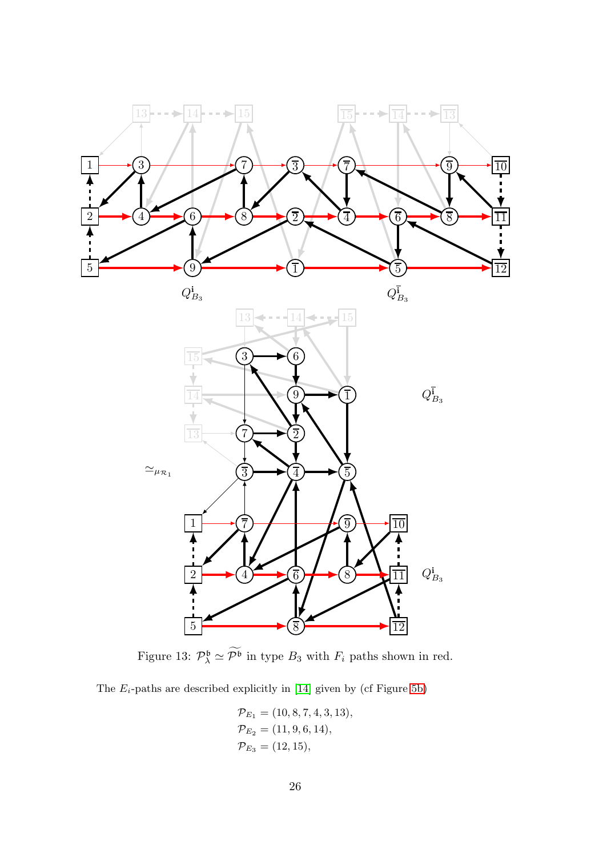<span id="page-25-0"></span>

Figure 13:  $\mathcal{P}_{\lambda}^{\mathfrak{b}} \simeq \widetilde{\mathcal{P}^{\mathfrak{b}}}$  in type  $B_3$  with  $F_i$  paths shown in red.

The  $E_i$ -paths are described explicitly in [\[14\]](#page-28-1) given by (cf Figure [5b\)](#page-13-0)

$$
\mathcal{P}_{E_1} = (10, 8, 7, 4, 3, 13), \n\mathcal{P}_{E_2} = (11, 9, 6, 14), \n\mathcal{P}_{E_3} = (12, 15),
$$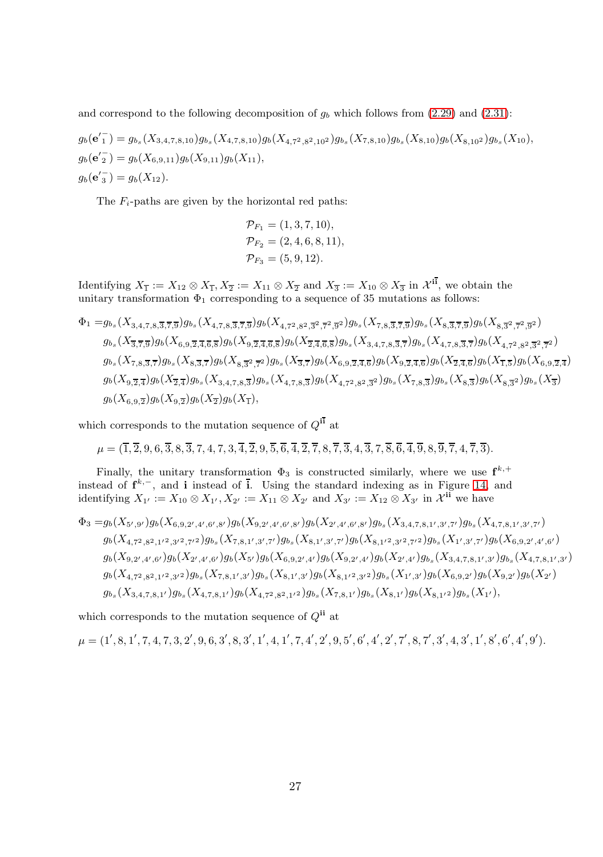and correspond to the following decomposition of  $g<sub>b</sub>$  which follows from [\(2.29\)](#page-7-2) and [\(2.31\)](#page-8-3):

 $g_{b}({\bf e'}_{1}^{-}) = g_{b_{s}}(X_{3,4,7,8,10})g_{b_{s}}(X_{4,7,8,10})g_{b}(X_{4,7^2,8^2,10^2})g_{b_{s}}(X_{7,8,10})g_{b_{s}}(X_{8,10})g_{b}(X_{8,10^2})g_{b_{s}}(X_{10}),$  $g_b(\mathbf{e'}_2^-) = g_b(X_{6,9,11})g_b(X_{9,11})g_b(X_{11}),$  $g_b(\mathbf{e'}_3^-)=g_b(X_{12}).$ 

The  $F_i$ -paths are given by the horizontal red paths:

$$
\mathcal{P}_{F_1} = (1, 3, 7, 10), \n\mathcal{P}_{F_2} = (2, 4, 6, 8, 11), \n\mathcal{P}_{F_3} = (5, 9, 12).
$$

Identifying  $X_{\overline{1}} := X_{12} \otimes X_{\overline{1}}, X_{\overline{2}} := X_{11} \otimes X_{\overline{2}}$  and  $X_{\overline{3}} := X_{10} \otimes X_{\overline{3}}$  in  $\mathcal{X}^{\mathbf{i}\overline{\mathbf{i}}}$ , we obtain the unitary transformation  $\Phi_1$  corresponding to a sequence of 35 mutations as follows:

$$
\Phi_{1}=g_{b_{s}}(X_{3,4,7,8,\overline{3},\overline{7},\overline{9}})g_{b_{s}}(X_{4,7,8,\overline{3},\overline{7},\overline{9}})g_{b}(X_{4,7^2,8^2,\overline{3}^2,\overline{7}^2,\overline{9}^2})g_{b_{s}}(X_{7,8,\overline{3},\overline{7},\overline{9}})g_{b_{s}}(X_{8,\overline{3},\overline{7},\overline{9}})g_{b}(X_{8,\overline{3}^2,\overline{7}^2,\overline{9}^2})
$$
\n
$$
g_{b_{s}}(X_{\overline{3},\overline{7},\overline{9}})g_{b}(X_{6,9,\overline{2},\overline{4},\overline{6},\overline{8}})g_{b}(X_{9,\overline{2},\overline{4},\overline{6},\overline{8}})g_{b}(X_{\overline{2},\overline{4},\overline{6},\overline{8}})g_{b_{s}}(X_{3,4,7,8,\overline{3},\overline{7}})g_{b_{s}}(X_{4,7,8,\overline{3},\overline{7}})g_{b}(X_{4,7^2,8^2,\overline{3}^2,\overline{7}^2})
$$
\n
$$
g_{b_{s}}(X_{7,8,3,\overline{7}})g_{b_{s}}(X_{8,3,\overline{7}})g_{b}(X_{8,3^2,\overline{7}^2})g_{b_{s}}(X_{\overline{3},\overline{7}})g_{b}(X_{6,9,\overline{2},\overline{4},\overline{6}})g_{b}(X_{9,\overline{2},\overline{4},\overline{6}})g_{b}(X_{\overline{2},\overline{4},\overline{6}})g_{b}(X_{\overline{1},\overline{5}})g_{b}(X_{6,9,\overline{2},\overline{4}})
$$
\n
$$
g_{b}(X_{9,\overline{2},\overline{4}})g_{b}(X_{\overline{2},\overline{4}})g_{b_{s}}(X_{3,4,7,8,\overline{3}})g_{b_{s}}(X_{4,7,8,3^2})g_{b}(X_{4,7^2,8^2,\overline{3}^2})g_{b_{s}}
$$

which corresponds to the mutation sequence of  $Q^{ii}$  at

$$
\mu = (\overline{1},\overline{2},9,6,\overline{3},8,\overline{3},7,4,7,3,\overline{4},\overline{2},9,\overline{5},\overline{6},\overline{4},\overline{2},\overline{7},8,\overline{7},\overline{3},4,\overline{3},7,\overline{8},\overline{6},\overline{4},\overline{9},8,\overline{9},\overline{7},4,\overline{7},\overline{3}).
$$

Finally, the unitary transformation  $\Phi_3$  is constructed similarly, where we use  $f^{k,+}$ instead of  $f^{k,-}$ , and i instead of i. Using the standard indexing as in Figure [14,](#page-27-0) and identifying  $X_{1'} := X_{10} \otimes X_{1'}, X_{2'} := X_{11} \otimes X_{2'}$  and  $X_{3'} := X_{12} \otimes X_{3'}$  in  $\mathcal{X}^{H}$  we have

$$
\Phi_{3}=g_{b}(X_{5',9'})g_{b}(X_{6,9,2',4',6',8'})g_{b}(X_{9,2',4',6',8'})g_{b}(X_{2',4',6',8'})g_{b_{s}}(X_{3,4,7,8,1',3',7'})g_{b_{s}}(X_{4,7,8,1',3',7'})
$$
\n
$$
g_{b}(X_{4,7^{2},8^{2},1^{1^{2}},3^{1^{2}},7^{1^{2}}})g_{b_{s}}(X_{7,8,1',3',7'})g_{b_{s}}(X_{8,1',3',7'})g_{b}(X_{8,1'^{2},3^{1^{2}},7^{1^{2}}})g_{b_{s}}(X_{1',3',7'})g_{b}(X_{6,9,2',4',6'})
$$
\n
$$
g_{b}(X_{9,2',4',6'})g_{b}(X_{2',4',6'})g_{b}(X_{5',1',3',7'})g_{b}(X_{9,2',4'})g_{b}(X_{2',4'})g_{b}(X_{2',4'})g_{b_{s}}(X_{3,4,7,8,1',3'})g_{b_{s}}(X_{4,7,8,1',3'})
$$
\n
$$
g_{b}(X_{4,7^{2},8^{2},1^{1^{2}},3^{1^{2}}})g_{b_{s}}(X_{7,8,1',3'})g_{b_{s}}(X_{8,1',3'})g_{b}(X_{8,1',2',3^{2}})g_{b_{s}}(X_{1',3'})g_{b}(X_{6,9,2'})g_{b}(X_{9,2'})g_{b}(X_{2'})
$$
\n
$$
g_{b_{s}}(X_{3,4,7,8,1'})g_{b_{s}}(X_{4,7,8,1'})g_{b}(X_{4,7,8,2,1^{2}})g_{b_{s}}(X_{7,8,1'})g_{b_{s}}(X_{8,1'})g_{b_{s}}(X_{8,1'})g_{b}(X_{8,1'2})g_{b_{s}}(X_{1'}),
$$

which corresponds to the mutation sequence of  $Q$ <sup>ii</sup> at

 $\mathcal{L}^{\text{max}}$  ,  $\mathcal{L}^{\text{max}}$ 

$$
\mu = (1', 8, 1', 7, 4, 7, 3, 2', 9, 6, 3', 8, 3', 1', 4, 1', 7, 4', 2', 9, 5', 6', 4', 2', 7', 8, 7', 3', 4, 3', 1', 8', 6', 4', 9').
$$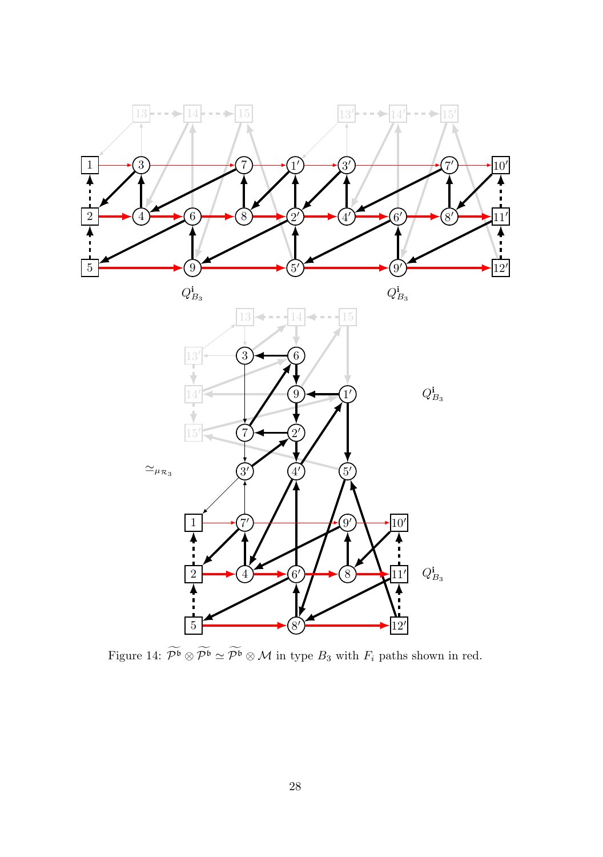<span id="page-27-0"></span>

Figure 14:  $\widetilde{{\cal P}^{\mathfrak b}}\otimes \widetilde{{\cal P}^{\mathfrak b}}\simeq \widetilde{{\cal P}^{\mathfrak b}}\otimes {\cal M}$  in type  $B_3$  with  $F_i$  paths shown in red.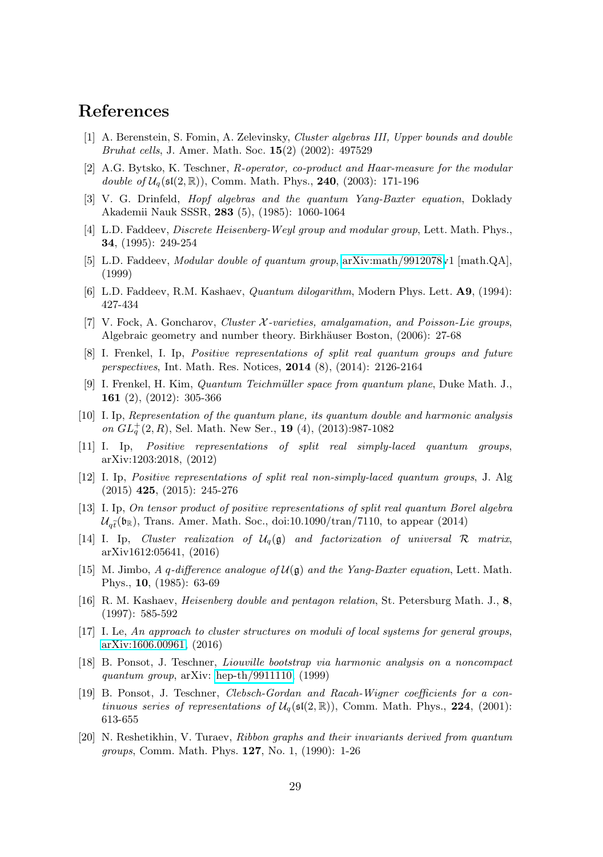# <span id="page-28-19"></span>References

- [1] A. Berenstein, S. Fomin, A. Zelevinsky, Cluster algebras III, Upper bounds and double Bruhat cells, J. Amer. Math. Soc. 15(2) (2002): 497529
- <span id="page-28-7"></span><span id="page-28-2"></span>[2] A.G. Bytsko, K. Teschner, R-operator, co-product and Haar-measure for the modular double of  $U_q(\mathfrak{sl}(2,\mathbb{R}))$ , Comm. Math. Phys., 240, (2003): 171-196
- <span id="page-28-5"></span>[3] V. G. Drinfeld, Hopf algebras and the quantum Yang-Baxter equation, Doklady Akademii Nauk SSSR, 283 (5), (1985): 1060-1064
- [4] L.D. Faddeev, *Discrete Heisenberg-Weyl group and modular group*, Lett. Math. Phys., 34, (1995): 249-254
- <span id="page-28-18"></span><span id="page-28-6"></span>[5] L.D. Faddeev, Modular double of quantum group, [arXiv:math/9912078v](http://arxiv.org/abs/math/9912078)1 [math.QA], (1999)
- <span id="page-28-15"></span>[6] L.D. Faddeev, R.M. Kashaev, Quantum dilogarithm, Modern Phys. Lett. A9, (1994): 427-434
- [7] V. Fock, A. Goncharov, Cluster X-varieties, amalgamation, and Poisson-Lie groups, Algebraic geometry and number theory. Birkhäuser Boston,  $(2006): 27-68$
- <span id="page-28-4"></span>[8] I. Frenkel, I. Ip, Positive representations of split real quantum groups and future perspectives, Int. Math. Res. Notices, 2014 (8), (2014): 2126-2164
- <span id="page-28-13"></span>[9] I. Frenkel, H. Kim, *Quantum Teichmüller space from quantum plane*, Duke Math. J., 161 (2), (2012): 305-366
- <span id="page-28-12"></span>[10] I. Ip, Representation of the quantum plane, its quantum double and harmonic analysis on  $GL_q^+(2, R)$ , Sel. Math. New Ser., 19 (4), (2013):987-1082
- <span id="page-28-10"></span>[11] I. Ip, Positive representations of split real simply-laced quantum groups, arXiv:1203:2018, (2012)
- <span id="page-28-11"></span>[12] I. Ip, Positive representations of split real non-simply-laced quantum groups, J. Alg (2015) 425, (2015): 245-276
- <span id="page-28-0"></span>[13] I. Ip, On tensor product of positive representations of split real quantum Borel algebra  $\mathcal{U}_{q\tilde{t}}(\mathfrak{b}_\mathbb{R})$ , Trans. Amer. Math. Soc., doi:10.1090/tran/7110, to appear (2014)
- <span id="page-28-1"></span>[14] I. Ip, Cluster realization of  $U_q(\mathfrak{g})$  and factorization of universal R matrix, arXiv1612:05641, (2016)
- <span id="page-28-3"></span>[15] M. Jimbo, A q-difference analogue of  $\mathcal{U}(\mathfrak{g})$  and the Yang-Baxter equation, Lett. Math. Phys., 10, (1985): 63-69
- <span id="page-28-17"></span>[16] R. M. Kashaev, Heisenberg double and pentagon relation, St. Petersburg Math. J., 8, (1997): 585-592
- <span id="page-28-16"></span>[17] I. Le, An approach to cluster structures on moduli of local systems for general groups, [arXiv:1606.00961,](http://arxiv.org/abs/1606.00961) (2016)
- <span id="page-28-8"></span>[18] B. Ponsot, J. Teschner, Liouville bootstrap via harmonic analysis on a noncompact quantum group, arXiv: [hep-th/9911110,](http://arxiv.org/abs/hep-th/9911110) (1999)
- <span id="page-28-9"></span>[19] B. Ponsot, J. Teschner, Clebsch-Gordan and Racah-Wigner coefficients for a continuous series of representations of  $\mathcal{U}_q(\mathfrak{sl}(2,\mathbb{R}))$ , Comm. Math. Phys., 224, (2001): 613-655
- <span id="page-28-14"></span>[20] N. Reshetikhin, V. Turaev, Ribbon graphs and their invariants derived from quantum groups, Comm. Math. Phys. 127, No. 1, (1990): 1-26